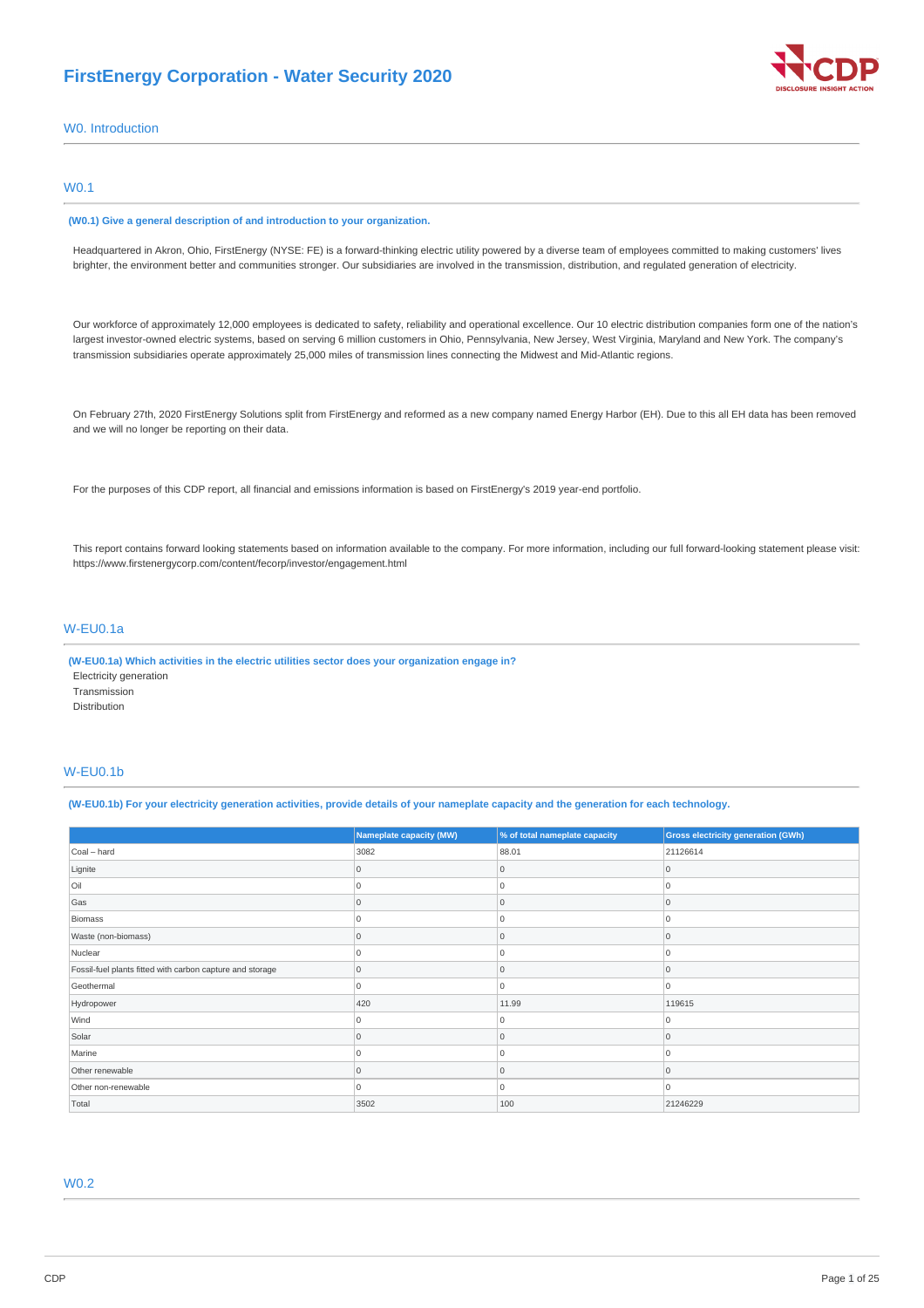# **FirstEnergy Corporation - Water Security 2020**



W0. Introduction

### W0.1

#### **(W0.1) Give a general description of and introduction to your organization.**

Headquartered in Akron, Ohio, FirstEnergy (NYSE: FE) is a forward-thinking electric utility powered by a diverse team of employees committed to making customers' lives brighter, the environment better and communities stronger. Our subsidiaries are involved in the transmission, distribution, and regulated generation of electricity.

Our workforce of approximately 12,000 employees is dedicated to safety, reliability and operational excellence. Our 10 electric distribution companies form one of the nation's largest investor-owned electric systems, based on serving 6 million customers in Ohio, Pennsylvania, New Jersey, West Virginia, Maryland and New York. The company's transmission subsidiaries operate approximately 25,000 miles of transmission lines connecting the Midwest and Mid-Atlantic regions.

On February 27th, 2020 FirstEnergy Solutions split from FirstEnergy and reformed as a new company named Energy Harbor (EH). Due to this all EH data has been removed and we will no longer be reporting on their data.

For the purposes of this CDP report, all financial and emissions information is based on FirstEnergy's 2019 year-end portfolio.

This report contains forward looking statements based on information available to the company. For more information, including our full forward-looking statement please visit: https://www.firstenergycorp.com/content/fecorp/investor/engagement.html

### W-EU0.1a

**(W-EU0.1a) Which activities in the electric utilities sector does your organization engage in?** Electricity generation Transmission Distribution

### W-EU0.1b

(W-EU0.1b) For your electricity generation activities, provide details of your nameplate capacity and the generation for each technology.

|                                                           | <b>Nameplate capacity (MW)</b> | % of total nameplate capacity | <b>Gross electricity generation (GWh)</b> |
|-----------------------------------------------------------|--------------------------------|-------------------------------|-------------------------------------------|
| Coal - hard                                               | 3082                           | 88.01                         | 21126614                                  |
| Lignite                                                   | 0                              | Ω                             | 0                                         |
| Oil                                                       | 0                              |                               | $\Omega$                                  |
| Gas                                                       | $\Omega$                       | 0                             | 0                                         |
| Biomass                                                   | $\Omega$                       | U                             | $\Omega$                                  |
| Waste (non-biomass)                                       | U                              |                               | $\Omega$                                  |
| Nuclear                                                   | 0                              |                               | 0                                         |
| Fossil-fuel plants fitted with carbon capture and storage | $\overline{0}$                 | 0                             | 0                                         |
| Geothermal                                                | $\Omega$                       | U                             | $\Omega$                                  |
| Hydropower                                                | 420                            | 11.99                         | 119615                                    |
| Wind                                                      | U                              |                               | $\Omega$                                  |
| Solar                                                     | U                              |                               | $\Omega$                                  |
| Marine                                                    | 0                              | Ω                             | $\Omega$                                  |
| Other renewable                                           | $\Omega$                       | U                             | $\Omega$                                  |
| Other non-renewable                                       | 0                              | U                             | 0                                         |
| Total                                                     | 3502                           | 100                           | 21246229                                  |

# W0.2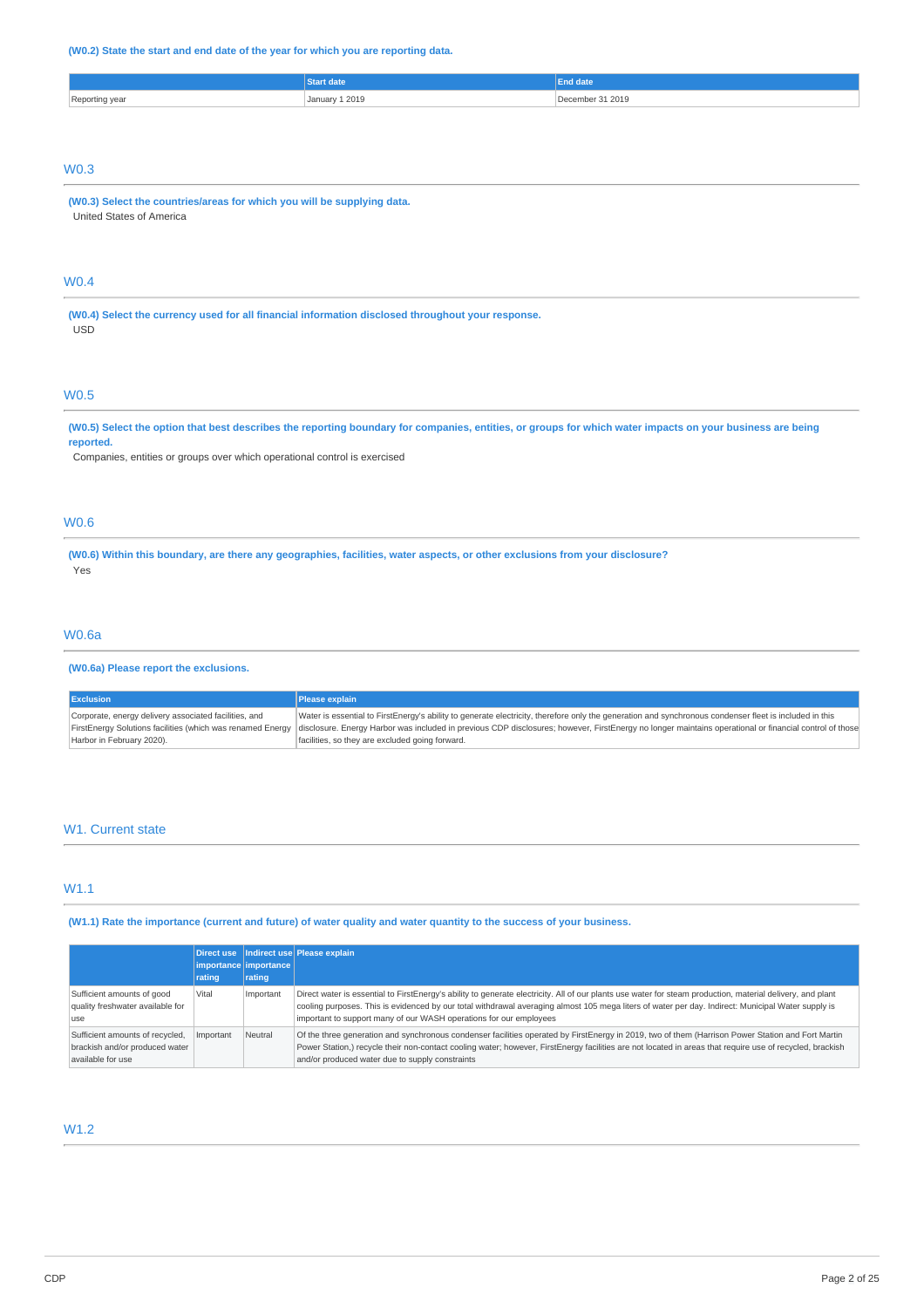### **(W0.2) State the start and end date of the year for which you are reporting data.**

|                       |                       | <b>date</b> |
|-----------------------|-----------------------|-------------|
| Reporting year<br>. כ | 1 2019<br>. January 1 | 31 2019     |
|                       |                       |             |

# W0.3

**(W0.3) Select the countries/areas for which you will be supplying data.** United States of America

# W0.4

**(W0.4) Select the currency used for all financial information disclosed throughout your response.** USD

## W0.5

#### (W0.5) Select the option that best describes the reporting boundary for companies, entities, or groups for which water impacts on your business are being **reported.**

Companies, entities or groups over which operational control is exercised

## W0.6

(W0.6) Within this boundary, are there any geographies, facilities, water aspects, or other exclusions from your disclosure? Yes

### W0.6a

### **(W0.6a) Please report the exclusions.**

| <b>Exclusion</b>                                      | Please explain                                                                                                                                                                                                     |
|-------------------------------------------------------|--------------------------------------------------------------------------------------------------------------------------------------------------------------------------------------------------------------------|
| Corporate, energy delivery associated facilities, and | Water is essential to FirstEnergy's ability to generate electricity, therefore only the generation and synchronous condenser fleet is included in this                                                             |
|                                                       | FirstEnergy Solutions facilities (which was renamed Energy  disclosure. Energy Harbor was included in previous CDP disclosures; however, FirstEnergy no longer maintains operational or financial control of those |
| Harbor in February 2020).                             | facilities, so they are excluded going forward.                                                                                                                                                                    |

### W<sub>1</sub>. Current state

### W1.1

(W1.1) Rate the importance (current and future) of water quality and water quantity to the success of your business.

|                                                                                        | rating    | importance importance<br>rating | Direct use   Indirect use   Please explain                                                                                                                                                                                                                                                                                                                                             |
|----------------------------------------------------------------------------------------|-----------|---------------------------------|----------------------------------------------------------------------------------------------------------------------------------------------------------------------------------------------------------------------------------------------------------------------------------------------------------------------------------------------------------------------------------------|
| Sufficient amounts of good<br>quality freshwater available for<br>use                  | Vital     | Important                       | Direct water is essential to FirstEnergy's ability to generate electricity. All of our plants use water for steam production, material delivery, and plant<br>cooling purposes. This is evidenced by our total withdrawal averaging almost 105 mega liters of water per day. Indirect: Municipal Water supply is<br>important to support many of our WASH operations for our employees |
| Sufficient amounts of recycled,<br>brackish and/or produced water<br>available for use | Important | Neutral                         | Of the three generation and synchronous condenser facilities operated by FirstEnergy in 2019, two of them (Harrison Power Station and Fort Martin<br>Power Station,) recycle their non-contact cooling water; however, FirstEnergy facilities are not located in areas that require use of recycled, brackish<br>and/or produced water due to supply constraints                       |

# W1.2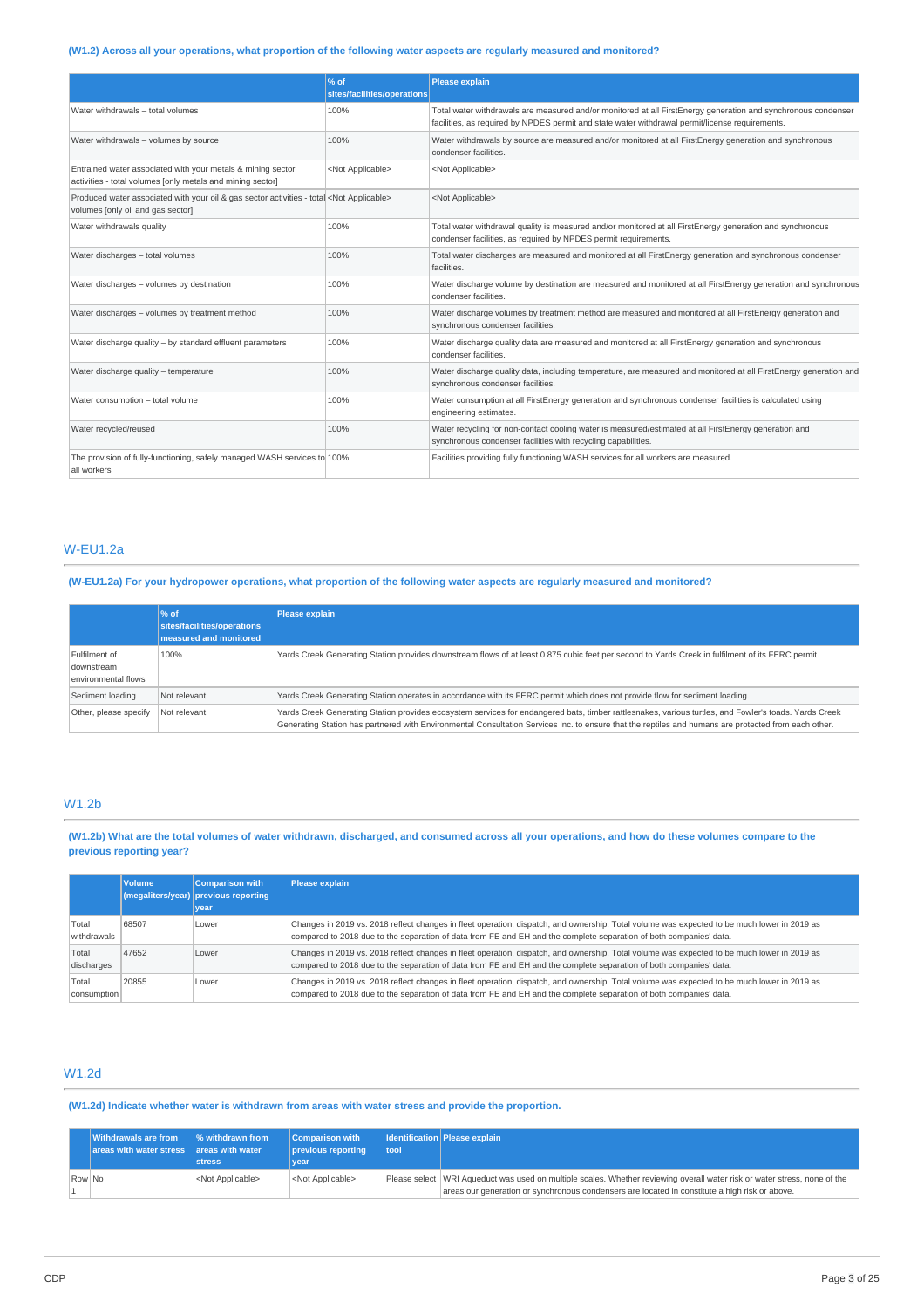# (W1.2) Across all your operations, what proportion of the following water aspects are regularly measured and monitored?

|                                                                                                                                         | $\frac{96}{6}$ of<br>sites/facilities/operations | Please explain                                                                                                                                                                                                   |
|-----------------------------------------------------------------------------------------------------------------------------------------|--------------------------------------------------|------------------------------------------------------------------------------------------------------------------------------------------------------------------------------------------------------------------|
| Water withdrawals - total volumes                                                                                                       | 100%                                             | Total water withdrawals are measured and/or monitored at all FirstEnergy generation and synchronous condenser<br>facilities, as required by NPDES permit and state water withdrawal permit/license requirements. |
| Water withdrawals - volumes by source                                                                                                   | 100%                                             | Water withdrawals by source are measured and/or monitored at all FirstEnergy generation and synchronous<br>condenser facilities.                                                                                 |
| Entrained water associated with your metals & mining sector<br>activities - total volumes [only metals and mining sector]               | <not applicable=""></not>                        | <not applicable=""></not>                                                                                                                                                                                        |
| Produced water associated with your oil & gas sector activities - total <not applicable=""><br/>volumes [only oil and gas sector]</not> |                                                  | <not applicable=""></not>                                                                                                                                                                                        |
| Water withdrawals quality                                                                                                               | 100%                                             | Total water withdrawal quality is measured and/or monitored at all FirstEnergy generation and synchronous<br>condenser facilities, as required by NPDES permit requirements.                                     |
| Water discharges - total volumes                                                                                                        | 100%                                             | Total water discharges are measured and monitored at all FirstEnergy generation and synchronous condenser<br>facilities.                                                                                         |
| Water discharges - volumes by destination                                                                                               | 100%                                             | Water discharge volume by destination are measured and monitored at all FirstEnergy generation and synchronous<br>condenser facilities.                                                                          |
| Water discharges - volumes by treatment method                                                                                          | 100%                                             | Water discharge volumes by treatment method are measured and monitored at all FirstEnergy generation and<br>synchronous condenser facilities.                                                                    |
| Water discharge quality - by standard effluent parameters                                                                               | 100%                                             | Water discharge quality data are measured and monitored at all FirstEnergy generation and synchronous<br>condenser facilities.                                                                                   |
| Water discharge quality - temperature                                                                                                   | 100%                                             | Water discharge quality data, including temperature, are measured and monitored at all FirstEnergy generation and<br>synchronous condenser facilities.                                                           |
| Water consumption - total volume                                                                                                        | 100%                                             | Water consumption at all FirstEnergy generation and synchronous condenser facilities is calculated using<br>engineering estimates.                                                                               |
| Water recycled/reused                                                                                                                   | 100%                                             | Water recycling for non-contact cooling water is measured/estimated at all FirstEnergy generation and<br>synchronous condenser facilities with recycling capabilities.                                           |
| The provision of fully-functioning, safely managed WASH services to 100%<br>all workers                                                 |                                                  | Facilities providing fully functioning WASH services for all workers are measured.                                                                                                                               |

### W-EU1.2a

(W-EU1.2a) For your hydropower operations, what proportion of the following water aspects are regularly measured and monitored?

|                                                    | $%$ of<br>sites/facilities/operations<br>measured and monitored | Please explain                                                                                                                                                                                                                                                                                                |
|----------------------------------------------------|-----------------------------------------------------------------|---------------------------------------------------------------------------------------------------------------------------------------------------------------------------------------------------------------------------------------------------------------------------------------------------------------|
| Fulfilment of<br>downstream<br>environmental flows | 100%                                                            | Yards Creek Generating Station provides downstream flows of at least 0.875 cubic feet per second to Yards Creek in fulfilment of its FERC permit.                                                                                                                                                             |
| Sediment loading                                   | Not relevant                                                    | Yards Creek Generating Station operates in accordance with its FERC permit which does not provide flow for sediment loading.                                                                                                                                                                                  |
| Other, please specify                              | Not relevant                                                    | Yards Creek Generating Station provides ecosystem services for endangered bats, timber rattlesnakes, various turtles, and Fowler's toads. Yards Creek<br>Generating Station has partnered with Environmental Consultation Services Inc. to ensure that the reptiles and humans are protected from each other. |

# W1.2b

(W1.2b) What are the total volumes of water withdrawn, discharged, and consumed across all your operations, and how do these volumes compare to the **previous reporting year?**

|                      | <b>Volume</b> | <b>Comparison with</b><br>(megaliters/year) previous reporting<br>year | <b>Please explain</b>                                                                                                                                                                                                                                             |
|----------------------|---------------|------------------------------------------------------------------------|-------------------------------------------------------------------------------------------------------------------------------------------------------------------------------------------------------------------------------------------------------------------|
| Total<br>withdrawals | 68507         | Lower                                                                  | Changes in 2019 vs. 2018 reflect changes in fleet operation, dispatch, and ownership. Total volume was expected to be much lower in 2019 as<br>compared to 2018 due to the separation of data from FE and EH and the complete separation of both companies' data. |
| Total<br>discharges  | 47652         | Lower                                                                  | Changes in 2019 vs. 2018 reflect changes in fleet operation, dispatch, and ownership. Total volume was expected to be much lower in 2019 as<br>compared to 2018 due to the separation of data from FE and EH and the complete separation of both companies' data. |
| Total<br>consumption | 20855         | Lower                                                                  | Changes in 2019 vs. 2018 reflect changes in fleet operation, dispatch, and ownership. Total volume was expected to be much lower in 2019 as<br>compared to 2018 due to the separation of data from FE and EH and the complete separation of both companies' data. |

### W1.2d

**(W1.2d) Indicate whether water is withdrawn from areas with water stress and provide the proportion.**

|        | <b>Withdrawals are from</b><br>areas with water stress areas with water | $\frac{1}{6}$ withdrawn from<br>stress. | <b>Comparison with</b><br>previous reporting<br>vear | tool | <b>Identification Please explain</b>                                                                                                                                                                                        |
|--------|-------------------------------------------------------------------------|-----------------------------------------|------------------------------------------------------|------|-----------------------------------------------------------------------------------------------------------------------------------------------------------------------------------------------------------------------------|
| Row No |                                                                         | <not applicable=""></not>               | <not applicable=""></not>                            |      | Please select WRI Aqueduct was used on multiple scales. Whether reviewing overall water risk or water stress, none of the<br>areas our generation or synchronous condensers are located in constitute a high risk or above. |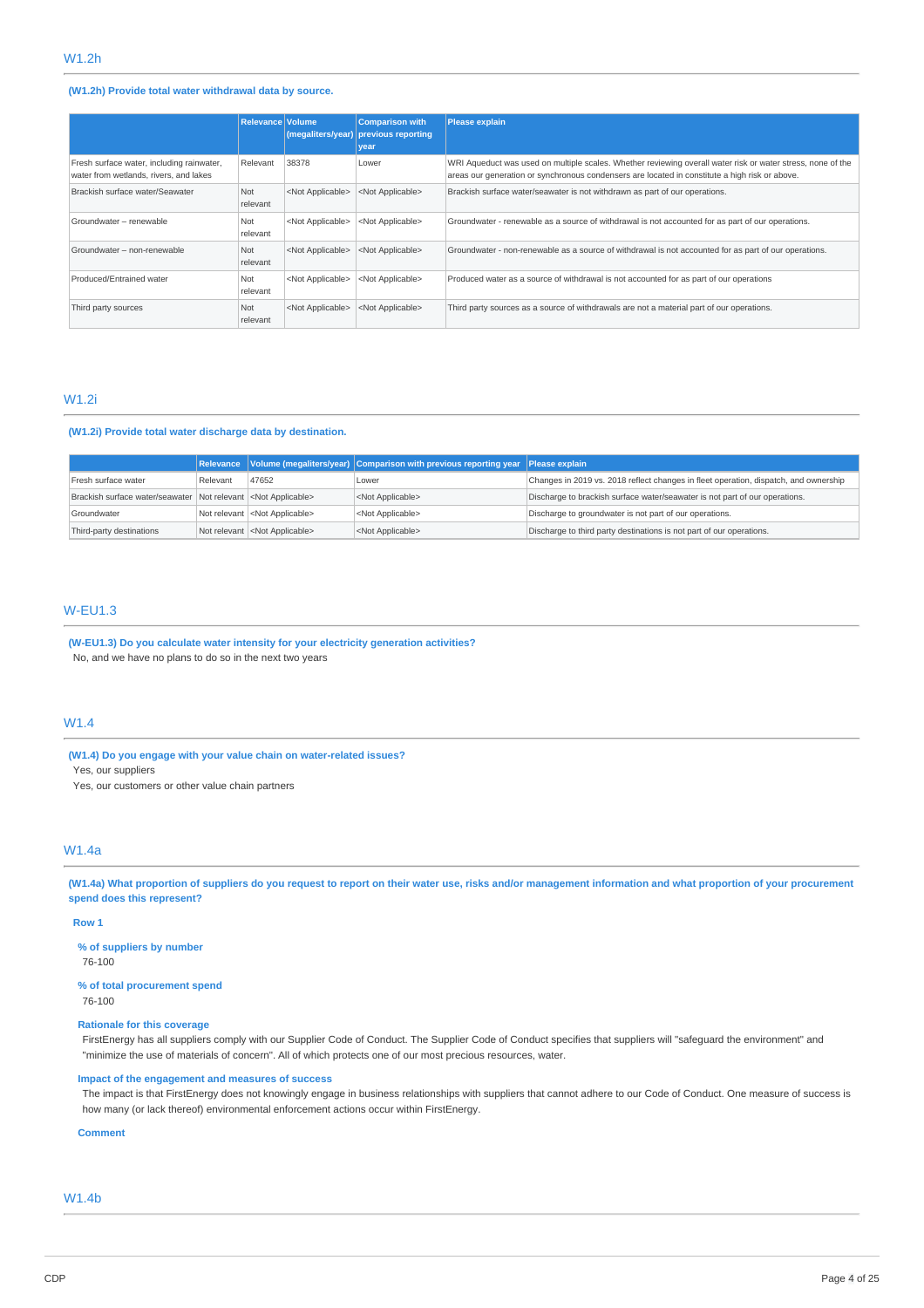### **(W1.2h) Provide total water withdrawal data by source.**

|                                                                                     | <b>Relevance Volume</b> |                           | <b>Comparison with</b><br>(megaliters/year) previous reporting<br>vear | <b>Please explain</b>                                                                                                                                                                                         |
|-------------------------------------------------------------------------------------|-------------------------|---------------------------|------------------------------------------------------------------------|---------------------------------------------------------------------------------------------------------------------------------------------------------------------------------------------------------------|
| Fresh surface water, including rainwater,<br>water from wetlands, rivers, and lakes | Relevant                | 38378                     | Lower                                                                  | WRI Aqueduct was used on multiple scales. Whether reviewing overall water risk or water stress, none of the<br>areas our generation or synchronous condensers are located in constitute a high risk or above. |
| Brackish surface water/Seawater                                                     | Not<br>relevant         | <not applicable=""></not> | <not applicable=""></not>                                              | Brackish surface water/seawater is not withdrawn as part of our operations.                                                                                                                                   |
| Groundwater - renewable                                                             | Not<br>relevant         | <not applicable=""></not> | <not applicable=""></not>                                              | Groundwater - renewable as a source of withdrawal is not accounted for as part of our operations.                                                                                                             |
| Groundwater - non-renewable                                                         | Not<br>relevant         | <not applicable=""></not> | <not applicable=""></not>                                              | Groundwater - non-renewable as a source of withdrawal is not accounted for as part of our operations.                                                                                                         |
| Produced/Entrained water                                                            | Not<br>relevant         | <not applicable=""></not> | <not applicable=""></not>                                              | Produced water as a source of withdrawal is not accounted for as part of our operations                                                                                                                       |
| Third party sources                                                                 | Not<br>relevant         | <not applicable=""></not> | <not applicable=""></not>                                              | Third party sources as a source of withdrawals are not a material part of our operations.                                                                                                                     |

### W1.2i

### **(W1.2i) Provide total water discharge data by destination.**

|                                                                        |          |                                        | Relevance Volume (megaliters/year) Comparison with previous reporting year Please explain |                                                                                      |
|------------------------------------------------------------------------|----------|----------------------------------------|-------------------------------------------------------------------------------------------|--------------------------------------------------------------------------------------|
| Fresh surface water                                                    | Relevant | 47652                                  | Lower                                                                                     | Changes in 2019 vs. 2018 reflect changes in fleet operation, dispatch, and ownership |
| Brackish surface water/seawater Not relevant <not applicable=""></not> |          |                                        | <not applicable=""></not>                                                                 | Discharge to brackish surface water/seawater is not part of our operations.          |
| Groundwater                                                            |          | Not relevant <not applicable=""></not> | <not applicable=""></not>                                                                 | Discharge to groundwater is not part of our operations.                              |
| Third-party destinations                                               |          | Not relevant <not applicable=""></not> | <not applicable=""></not>                                                                 | Discharge to third party destinations is not part of our operations.                 |

### W-EU1.3

### **(W-EU1.3) Do you calculate water intensity for your electricity generation activities?** No, and we have no plans to do so in the next two years

### W1.4

**(W1.4) Do you engage with your value chain on water-related issues?** Yes, our suppliers

Yes, our customers or other value chain partners

### W1.4a

(W1.4a) What proportion of suppliers do you request to report on their water use, risks and/or management information and what proportion of your procurement **spend does this represent?**

#### **Row 1**

**% of suppliers by number**

76-100

**% of total procurement spend** 76-100

# **Rationale for this coverage**

FirstEnergy has all suppliers comply with our Supplier Code of Conduct. The Supplier Code of Conduct specifies that suppliers will "safeguard the environment" and "minimize the use of materials of concern". All of which protects one of our most precious resources, water.

### **Impact of the engagement and measures of success**

The impact is that FirstEnergy does not knowingly engage in business relationships with suppliers that cannot adhere to our Code of Conduct. One measure of success is how many (or lack thereof) environmental enforcement actions occur within FirstEnergy.

**Comment**

### W1.4b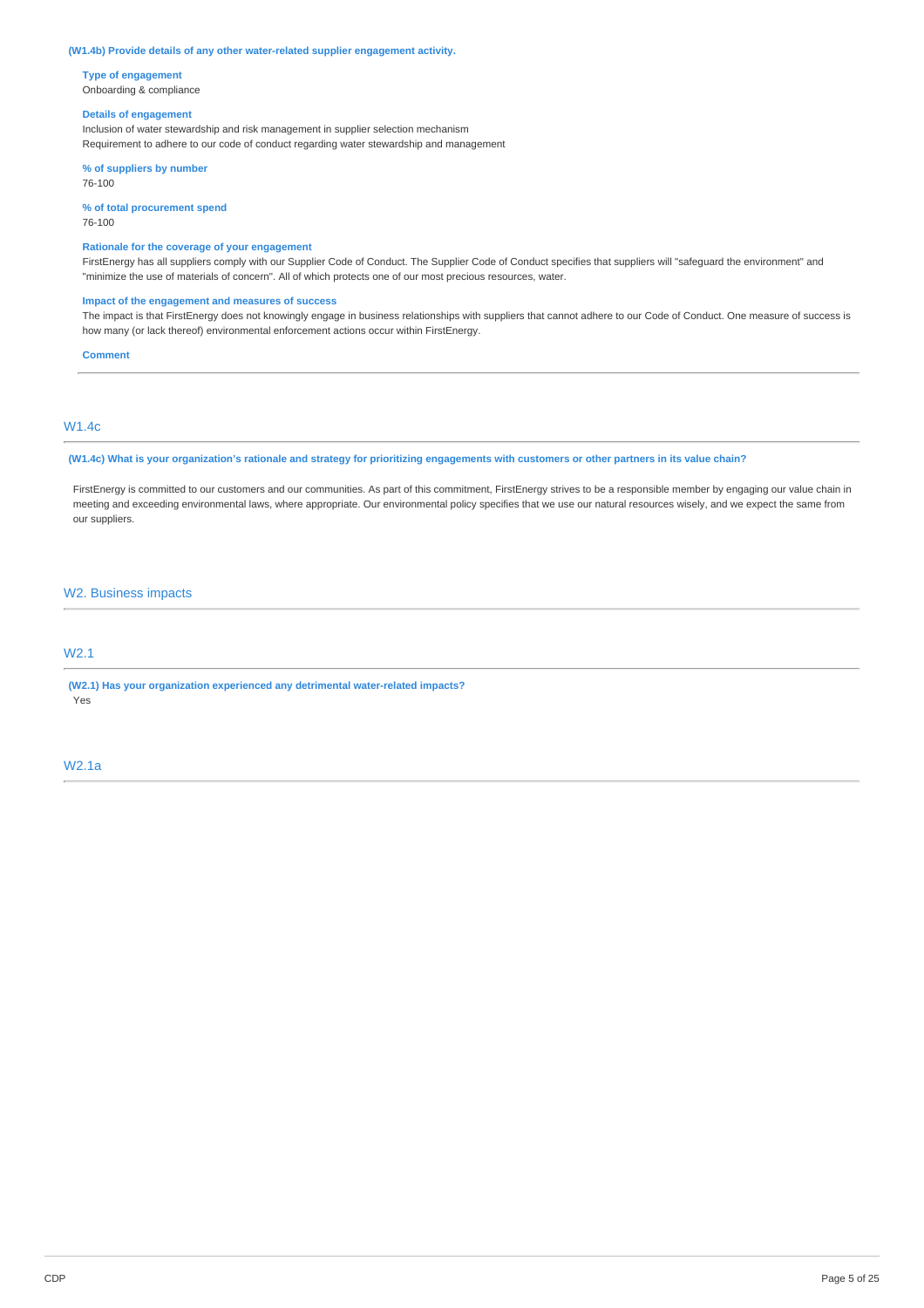#### **(W1.4b) Provide details of any other water-related supplier engagement activity.**

**Type of engagement** Onboarding & compliance

#### **Details of engagement**

Inclusion of water stewardship and risk management in supplier selection mechanism Requirement to adhere to our code of conduct regarding water stewardship and management

**% of suppliers by number** 76-100

**% of total procurement spend**

76-100

### **Rationale for the coverage of your engagement**

FirstEnergy has all suppliers comply with our Supplier Code of Conduct. The Supplier Code of Conduct specifies that suppliers will "safeguard the environment" and "minimize the use of materials of concern". All of which protects one of our most precious resources, water.

#### **Impact of the engagement and measures of success**

The impact is that FirstEnergy does not knowingly engage in business relationships with suppliers that cannot adhere to our Code of Conduct. One measure of success is how many (or lack thereof) environmental enforcement actions occur within FirstEnergy.

#### **Comment**

### W1.4c

(W1.4c) What is your organization's rationale and strategy for prioritizing engagements with customers or other partners in its value chain?

FirstEnergy is committed to our customers and our communities. As part of this commitment, FirstEnergy strives to be a responsible member by engaging our value chain in meeting and exceeding environmental laws, where appropriate. Our environmental policy specifies that we use our natural resources wisely, and we expect the same from our suppliers.

### W2. Business impacts

## W2.1

**(W2.1) Has your organization experienced any detrimental water-related impacts?** Yes

#### W2.1a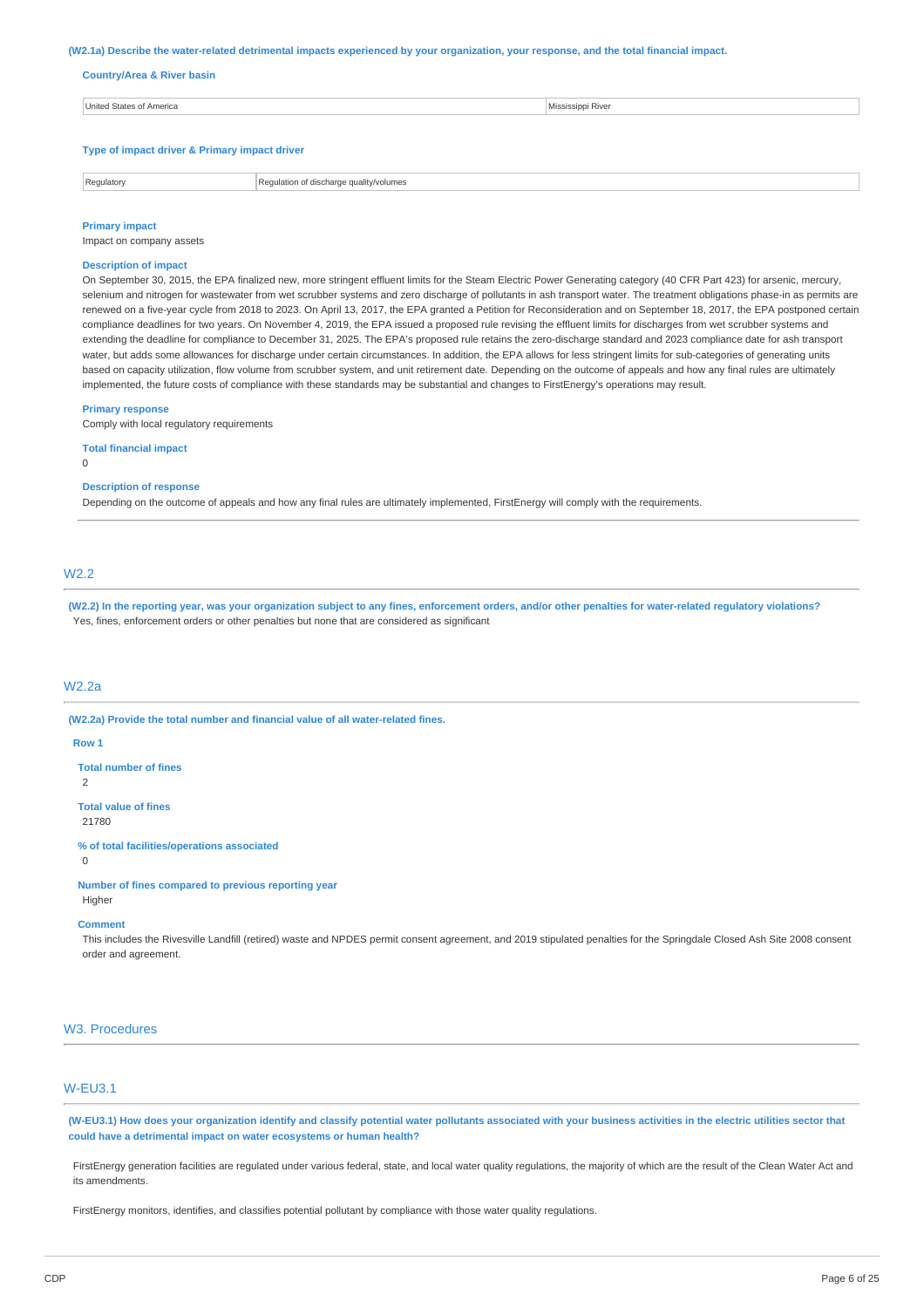#### (W2.1a) Describe the water-related detrimental impacts experienced by your organization, your response, and the total financial impact.

#### **Country/Area & River basin**

| United States of America                      | Mississippi River |
|-----------------------------------------------|-------------------|
|                                               |                   |
| Type of impact driver & Primary impact driver |                   |

Regulatory Regulation of discharge quality/volumes

### **Primary impact**

Impact on company assets

### **Description of impact**

On September 30, 2015, the EPA finalized new, more stringent effluent limits for the Steam Electric Power Generating category (40 CFR Part 423) for arsenic, mercury, selenium and nitrogen for wastewater from wet scrubber systems and zero discharge of pollutants in ash transport water. The treatment obligations phase-in as permits are renewed on a five-year cycle from 2018 to 2023. On April 13, 2017, the EPA granted a Petition for Reconsideration and on September 18, 2017, the EPA postponed certain compliance deadlines for two years. On November 4, 2019, the EPA issued a proposed rule revising the effluent limits for discharges from wet scrubber systems and extending the deadline for compliance to December 31, 2025. The EPA's proposed rule retains the zero-discharge standard and 2023 compliance date for ash transport water, but adds some allowances for discharge under certain circumstances. In addition, the EPA allows for less stringent limits for sub-categories of generating units based on capacity utilization, flow volume from scrubber system, and unit retirement date. Depending on the outcome of appeals and how any final rules are ultimately implemented, the future costs of compliance with these standards may be substantial and changes to FirstEnergy's operations may result.

#### **Primary response**

Comply with local regulatory requirements

#### **Total financial impact**

0

#### **Description of response**

Depending on the outcome of appeals and how any final rules are ultimately implemented, FirstEnergy will comply with the requirements.

### W2.2

(W2.2) In the reporting year, was your organization subject to any fines, enforcement orders, and/or other penalties for water-related regulatory violations? Yes, fines, enforcement orders or other penalties but none that are considered as significant

### W2.2a

**(W2.2a) Provide the total number and financial value of all water-related fines.**

#### **Row 1**

**Total number of fines**

 $\overline{2}$ 

**Total value of fines**

21780

**% of total facilities/operations associated**

 $\Omega$ 

### **Number of fines compared to previous reporting year**

Higher

## **Comment**

This includes the Rivesville Landfill (retired) waste and NPDES permit consent agreement, and 2019 stipulated penalties for the Springdale Closed Ash Site 2008 consent order and agreement.

### W3. Procedures

### W-EU3.1

(W-EU3.1) How does your organization identify and classify potential water pollutants associated with your business activities in the electric utilities sector that **could have a detrimental impact on water ecosystems or human health?**

FirstEnergy generation facilities are regulated under various federal, state, and local water quality regulations, the majority of which are the result of the Clean Water Act and its amendments.

FirstEnergy monitors, identifies, and classifies potential pollutant by compliance with those water quality regulations.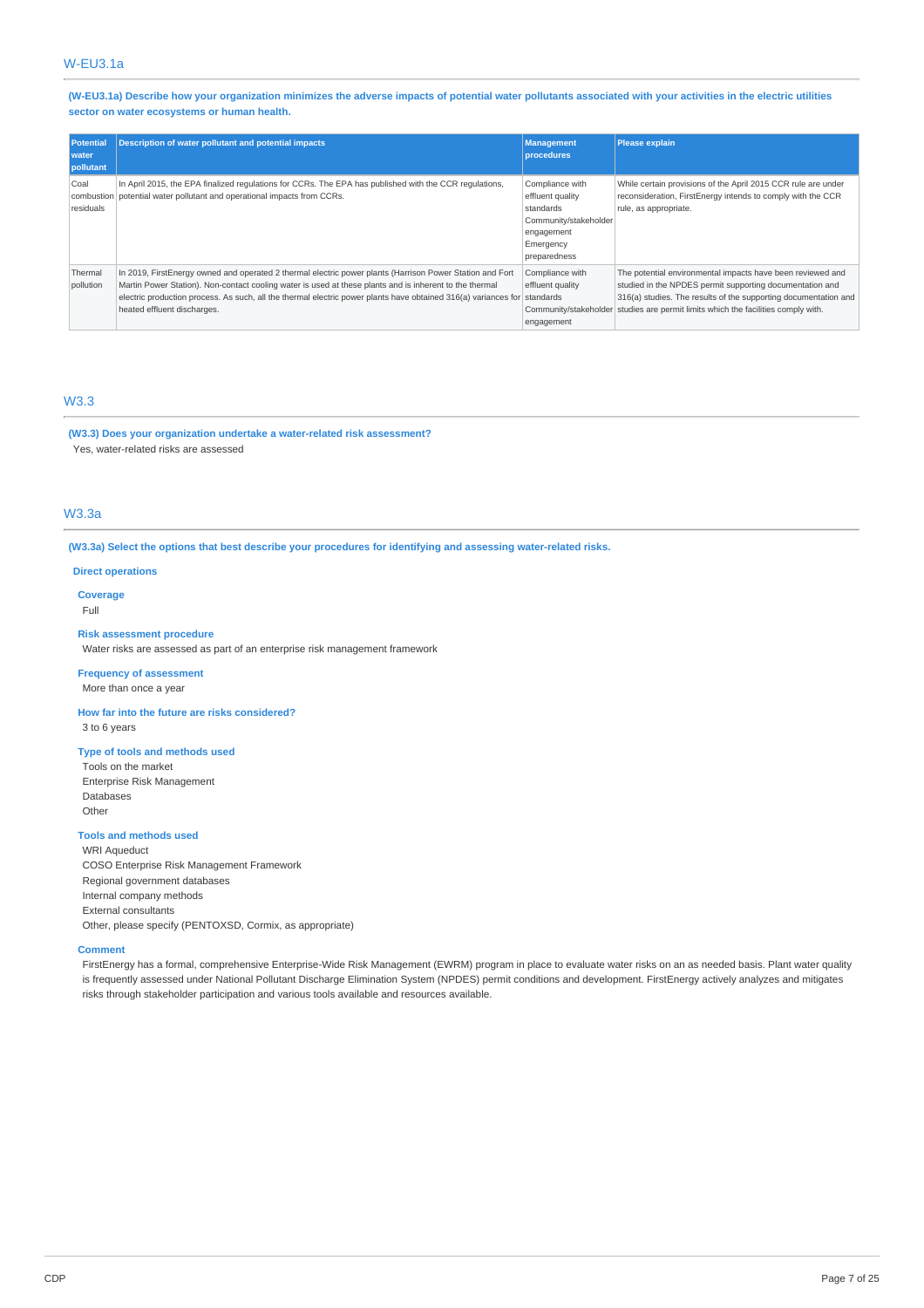(W-EU3.1a) Describe how your organization minimizes the adverse impacts of potential water pollutants associated with your activities in the electric utilities **sector on water ecosystems or human health.**

| <b>Potential</b><br>water<br>pollutant | <b>Description of water pollutant and potential impacts</b>                                                                                                                                                                                                                                                                                                                    | <b>Management</b><br>procedures                                                                                      | <b>Please explain</b>                                                                                                                                                                                                                                                          |
|----------------------------------------|--------------------------------------------------------------------------------------------------------------------------------------------------------------------------------------------------------------------------------------------------------------------------------------------------------------------------------------------------------------------------------|----------------------------------------------------------------------------------------------------------------------|--------------------------------------------------------------------------------------------------------------------------------------------------------------------------------------------------------------------------------------------------------------------------------|
| Coal<br>residuals                      | In April 2015, the EPA finalized regulations for CCRs. The EPA has published with the CCR regulations,<br>combustion potential water pollutant and operational impacts from CCRs.                                                                                                                                                                                              | Compliance with<br>effluent quality<br>standards<br>Community/stakeholder<br>engagement<br>Emergency<br>preparedness | While certain provisions of the April 2015 CCR rule are under<br>reconsideration, FirstEnergy intends to comply with the CCR<br>rule, as appropriate.                                                                                                                          |
| Thermal<br>pollution                   | In 2019, FirstEnergy owned and operated 2 thermal electric power plants (Harrison Power Station and Fort<br>Martin Power Station). Non-contact cooling water is used at these plants and is inherent to the thermal<br>electric production process. As such, all the thermal electric power plants have obtained 316(a) variances for standards<br>heated effluent discharges. | Compliance with<br>effluent quality<br>engagement                                                                    | The potential environmental impacts have been reviewed and<br>studied in the NPDES permit supporting documentation and<br>316(a) studies. The results of the supporting documentation and<br>Community/stakeholder studies are permit limits which the facilities comply with. |

# W3.3

**(W3.3) Does your organization undertake a water-related risk assessment?** Yes, water-related risks are assessed

### W3.3a

**(W3.3a) Select the options that best describe your procedures for identifying and assessing water-related risks.**

### **Direct operations**

**Coverage** Full

#### **Risk assessment procedure**

Water risks are assessed as part of an enterprise risk management framework

#### **Frequency of assessment** More than once a year

**How far into the future are risks considered?** 3 to 6 years

#### **Type of tools and methods used**

Tools on the market Enterprise Risk Management Databases Other

#### **Tools and methods used**

WRI Aqueduct COSO Enterprise Risk Management Framework Regional government databases Internal company methods External consultants Other, please specify (PENTOXSD, Cormix, as appropriate)

#### **Comment**

FirstEnergy has a formal, comprehensive Enterprise-Wide Risk Management (EWRM) program in place to evaluate water risks on an as needed basis. Plant water quality is frequently assessed under National Pollutant Discharge Elimination System (NPDES) permit conditions and development. FirstEnergy actively analyzes and mitigates risks through stakeholder participation and various tools available and resources available.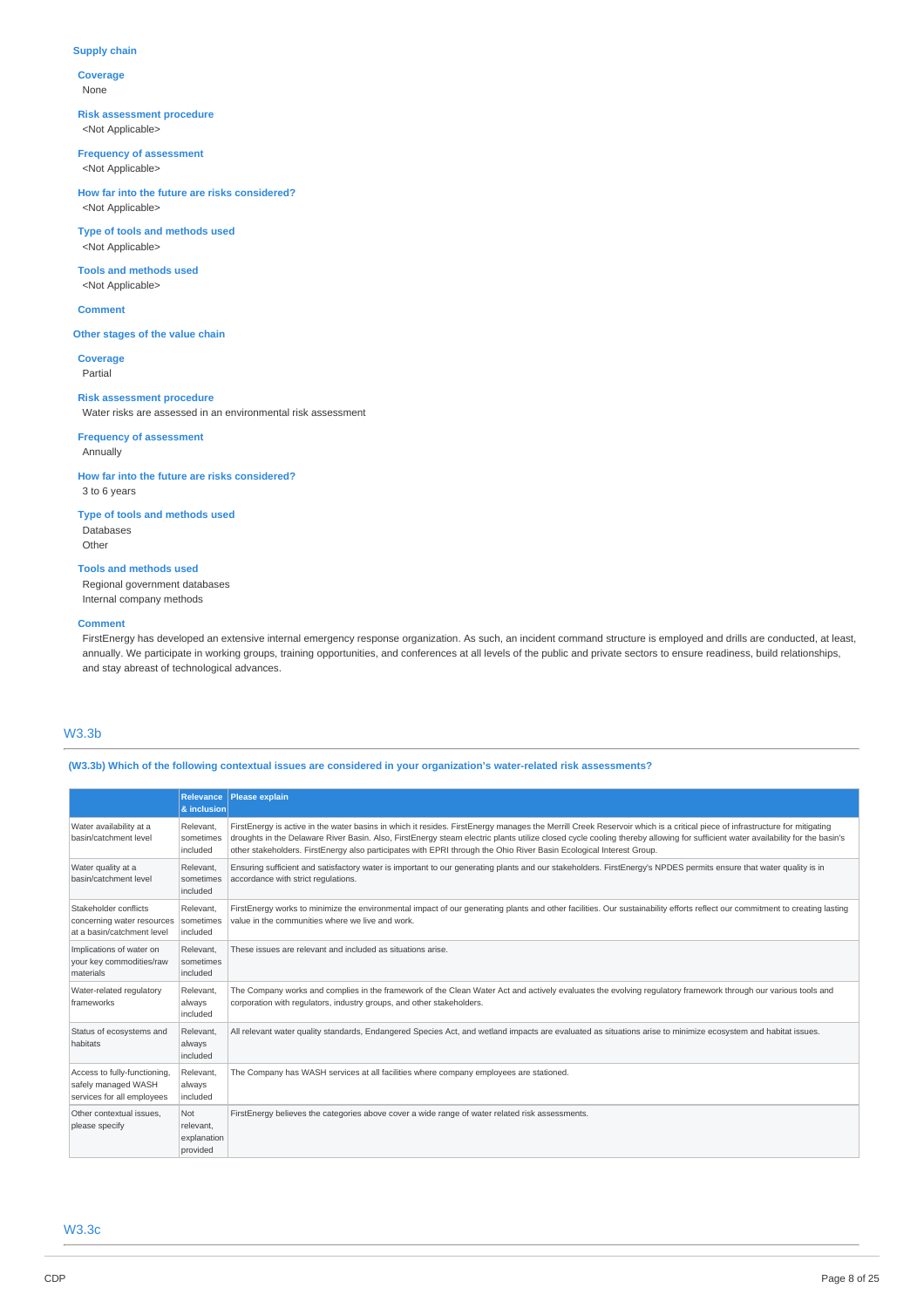### **Supply chain**

**Coverage** None

### **Risk assessment procedure** <Not Applicable>

**Frequency of assessment**

<Not Applicable>

#### **How far into the future are risks considered?** <Not Applicable>

**Type of tools and methods used** <Not Applicable>

**Tools and methods used** <Not Applicable>

**Comment**

### **Other stages of the value chain**

**Coverage** Partial

### **Risk assessment procedure**

Water risks are assessed in an environmental risk assessment

### **Frequency of assessment** Annually

**How far into the future are risks considered?** 3 to 6 years

**Type of tools and methods used** Databases Other

# **Tools and methods used**

Regional government databases Internal company methods

#### **Comment**

FirstEnergy has developed an extensive internal emergency response organization. As such, an incident command structure is employed and drills are conducted, at least, annually. We participate in working groups, training opportunities, and conferences at all levels of the public and private sectors to ensure readiness, build relationships, and stay abreast of technological advances.

### W3.3b

**(W3.3b) Which of the following contextual issues are considered in your organization's water-related risk assessments?**

|                                                                                   | Relevance<br>& inclusion                           | <b>Please explain</b>                                                                                                                                                                                                                                                                                                                                                                                                                                                             |
|-----------------------------------------------------------------------------------|----------------------------------------------------|-----------------------------------------------------------------------------------------------------------------------------------------------------------------------------------------------------------------------------------------------------------------------------------------------------------------------------------------------------------------------------------------------------------------------------------------------------------------------------------|
| Water availability at a<br>basin/catchment level                                  | Relevant,<br>sometimes<br>included                 | FirstEnergy is active in the water basins in which it resides. FirstEnergy manages the Merrill Creek Reservoir which is a critical piece of infrastructure for mitigating<br>droughts in the Delaware River Basin. Also, FirstEnergy steam electric plants utilize closed cycle cooling thereby allowing for sufficient water availability for the basin's<br>other stakeholders. FirstEnergy also participates with EPRI through the Ohio River Basin Ecological Interest Group. |
| Water quality at a<br>basin/catchment level                                       | Relevant,<br>sometimes<br>included                 | Ensuring sufficient and satisfactory water is important to our generating plants and our stakeholders. FirstEnergy's NPDES permits ensure that water quality is in<br>accordance with strict regulations.                                                                                                                                                                                                                                                                         |
| Stakeholder conflicts<br>concerning water resources<br>at a basin/catchment level | Relevant.<br>sometimes<br>included                 | FirstEnergy works to minimize the environmental impact of our generating plants and other facilities. Our sustainability efforts reflect our commitment to creating lasting<br>value in the communities where we live and work.                                                                                                                                                                                                                                                   |
| Implications of water on<br>your key commodities/raw<br>materials                 | Relevant.<br>sometimes<br>included                 | These issues are relevant and included as situations arise.                                                                                                                                                                                                                                                                                                                                                                                                                       |
| Water-related regulatory<br>frameworks                                            | Relevant.<br>always<br>included                    | The Company works and complies in the framework of the Clean Water Act and actively evaluates the evolving regulatory framework through our various tools and<br>corporation with regulators, industry groups, and other stakeholders.                                                                                                                                                                                                                                            |
| Status of ecosystems and<br>habitats                                              | Relevant.<br>always<br>included                    | All relevant water quality standards, Endangered Species Act, and wetland impacts are evaluated as situations arise to minimize ecosystem and habitat issues.                                                                                                                                                                                                                                                                                                                     |
| Access to fully-functioning,<br>safely managed WASH<br>services for all employees | Relevant.<br>always<br>included                    | The Company has WASH services at all facilities where company employees are stationed.                                                                                                                                                                                                                                                                                                                                                                                            |
| Other contextual issues.<br>please specify                                        | <b>Not</b><br>relevant.<br>explanation<br>provided | FirstEnergy believes the categories above cover a wide range of water related risk assessments.                                                                                                                                                                                                                                                                                                                                                                                   |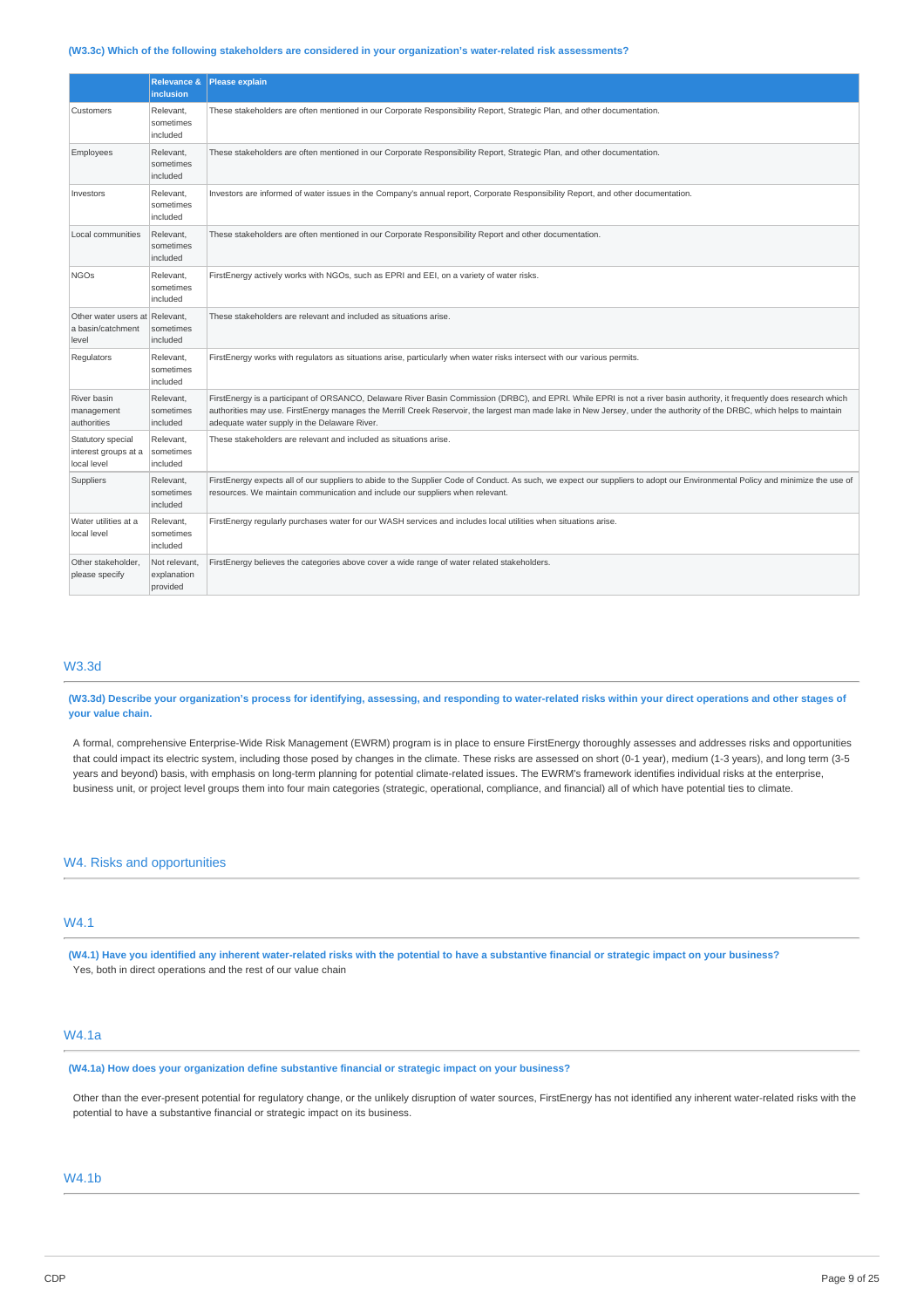#### **(W3.3c) Which of the following stakeholders are considered in your organization's water-related risk assessments?**

|                                                              | <b>Relevance &amp;</b><br>inclusion      | <b>Please explain</b>                                                                                                                                                                                                                                                                                                                                                                              |
|--------------------------------------------------------------|------------------------------------------|----------------------------------------------------------------------------------------------------------------------------------------------------------------------------------------------------------------------------------------------------------------------------------------------------------------------------------------------------------------------------------------------------|
| Customers                                                    | Relevant,<br>sometimes<br>included       | These stakeholders are often mentioned in our Corporate Responsibility Report, Strategic Plan, and other documentation.                                                                                                                                                                                                                                                                            |
| Employees                                                    | Relevant,<br>sometimes<br>included       | These stakeholders are often mentioned in our Corporate Responsibility Report, Strategic Plan, and other documentation.                                                                                                                                                                                                                                                                            |
| Investors                                                    | Relevant,<br>sometimes<br>included       | Investors are informed of water issues in the Company's annual report, Corporate Responsibility Report, and other documentation.                                                                                                                                                                                                                                                                   |
| Local communities                                            | Relevant,<br>sometimes<br>included       | These stakeholders are often mentioned in our Corporate Responsibility Report and other documentation.                                                                                                                                                                                                                                                                                             |
| <b>NGOs</b>                                                  | Relevant,<br>sometimes<br>included       | FirstEnergy actively works with NGOs, such as EPRI and EEI, on a variety of water risks.                                                                                                                                                                                                                                                                                                           |
| Other water users at Relevant,<br>a basin/catchment<br>level | sometimes<br>included                    | These stakeholders are relevant and included as situations arise.                                                                                                                                                                                                                                                                                                                                  |
| Regulators                                                   | Relevant,<br>sometimes<br>included       | FirstEnergy works with regulators as situations arise, particularly when water risks intersect with our various permits.                                                                                                                                                                                                                                                                           |
| River basin<br>management<br>authorities                     | Relevant,<br>sometimes<br>included       | FirstEnergy is a participant of ORSANCO, Delaware River Basin Commission (DRBC), and EPRI. While EPRI is not a river basin authority, it frequently does research which<br>authorities may use. FirstEnergy manages the Merrill Creek Reservoir, the largest man made lake in New Jersey, under the authority of the DRBC, which helps to maintain<br>adequate water supply in the Delaware River. |
| Statutory special<br>interest groups at a<br>local level     | Relevant,<br>sometimes<br>included       | These stakeholders are relevant and included as situations arise.                                                                                                                                                                                                                                                                                                                                  |
| Suppliers                                                    | Relevant,<br>sometimes<br>included       | FirstEnergy expects all of our suppliers to abide to the Supplier Code of Conduct. As such, we expect our suppliers to adopt our Environmental Policy and minimize the use of<br>resources. We maintain communication and include our suppliers when relevant.                                                                                                                                     |
| Water utilities at a<br>local level                          | Relevant,<br>sometimes<br>included       | FirstEnergy regularly purchases water for our WASH services and includes local utilities when situations arise.                                                                                                                                                                                                                                                                                    |
| Other stakeholder.<br>please specify                         | Not relevant,<br>explanation<br>provided | FirstEnergy believes the categories above cover a wide range of water related stakeholders.                                                                                                                                                                                                                                                                                                        |

#### W3.3d

(W3.3d) Describe your organization's process for identifying, assessing, and responding to water-related risks within your direct operations and other stages of **your value chain.**

A formal, comprehensive Enterprise-Wide Risk Management (EWRM) program is in place to ensure FirstEnergy thoroughly assesses and addresses risks and opportunities that could impact its electric system, including those posed by changes in the climate. These risks are assessed on short (0-1 year), medium (1-3 years), and long term (3-5 years and beyond) basis, with emphasis on long-term planning for potential climate-related issues. The EWRM's framework identifies individual risks at the enterprise, business unit, or project level groups them into four main categories (strategic, operational, compliance, and financial) all of which have potential ties to climate.

### W4. Risks and opportunities

### W4.1

(W4.1) Have you identified any inherent water-related risks with the potential to have a substantive financial or strategic impact on your business? Yes, both in direct operations and the rest of our value chain

# W4.1a

**(W4.1a) How does your organization define substantive financial or strategic impact on your business?**

Other than the ever-present potential for regulatory change, or the unlikely disruption of water sources, FirstEnergy has not identified any inherent water-related risks with the potential to have a substantive financial or strategic impact on its business.

### W4.1b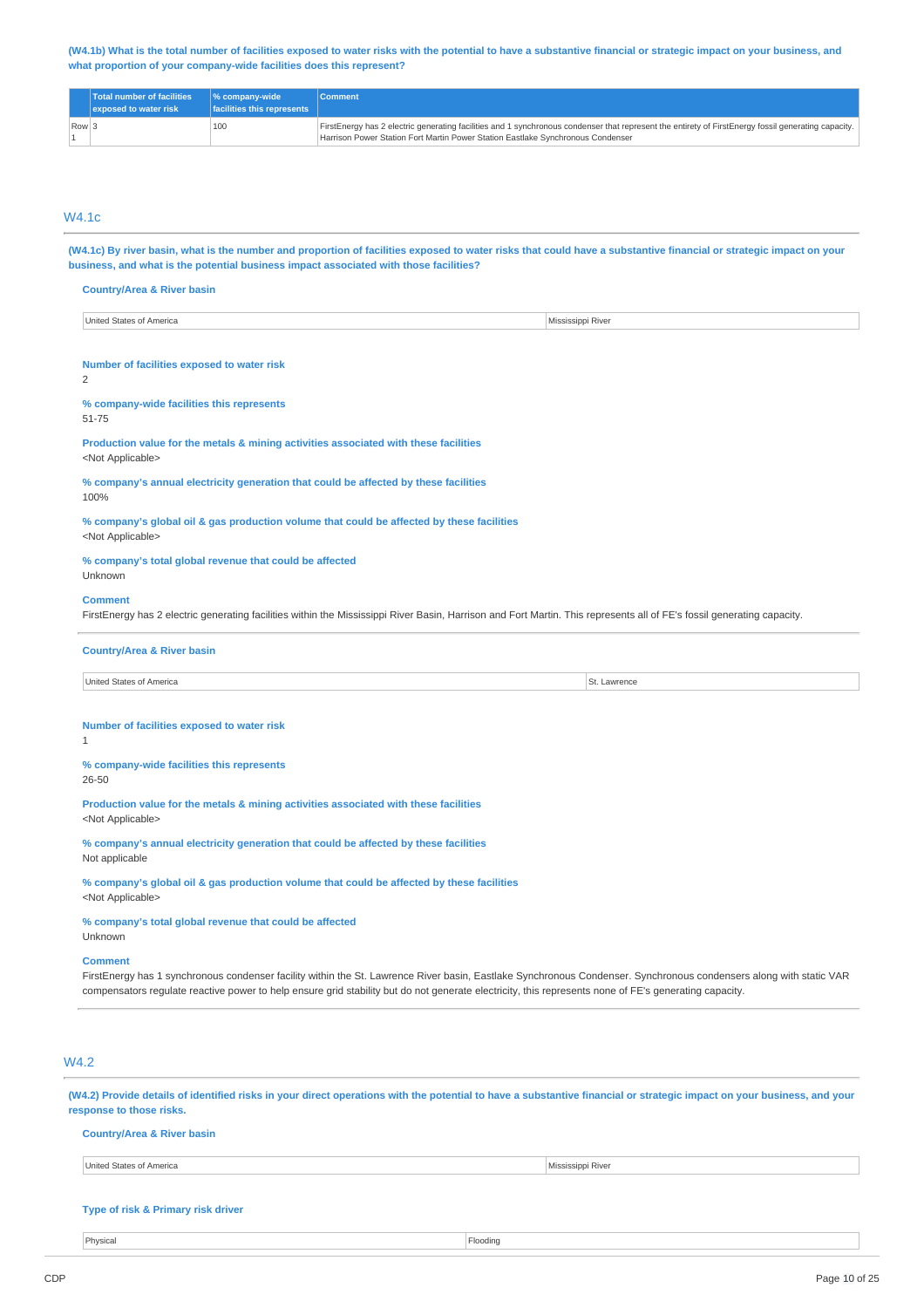(W4.1b) What is the total number of facilities exposed to water risks with the potential to have a substantive financial or strategic impact on your business, and **what proportion of your company-wide facilities does this represent?**

|                  | <b>Total number of facilities</b><br>exposed to water risk | $\%$ company-wide<br>facilities this represents | <b>Comment</b>                                                                                                                                      |
|------------------|------------------------------------------------------------|-------------------------------------------------|-----------------------------------------------------------------------------------------------------------------------------------------------------|
| $\sqrt{R}$ Row 3 |                                                            | 100                                             | FirstEnergy has 2 electric generating facilities and 1 synchronous condenser that represent the entirety of FirstEnergy fossil generating capacity. |
|                  |                                                            |                                                 | Harrison Power Station Fort Martin Power Station Eastlake Synchronous Condenser                                                                     |

### W4.1c

(W4.1c) By river basin, what is the number and proportion of facilities exposed to water risks that could have a substantive financial or strategic impact on your **business, and what is the potential business impact associated with those facilities?**

#### **Country/Area & River basin**

| States<br>United<br>of America<br>Mississippi River |
|-----------------------------------------------------|
|-----------------------------------------------------|

#### **Number of facilities exposed to water risk**

 $\overline{2}$ 

# **% company-wide facilities this represents**

51-75

#### **Production value for the metals & mining activities associated with these facilities** <Not Applicable>

**% company's annual electricity generation that could be affected by these facilities** 100%

**% company's global oil & gas production volume that could be affected by these facilities** <Not Applicable>

#### **% company's total global revenue that could be affected** Unknown

#### **Comment**

FirstEnergy has 2 electric generating facilities within the Mississippi River Basin, Harrison and Fort Martin. This represents all of FE's fossil generating capacity.

#### **Country/Area & River basin**

United States of America St. Lawrence

#### **Number of facilities exposed to water risk**

1

**% company-wide facilities this represents**

# 26-50

**Production value for the metals & mining activities associated with these facilities**

<Not Applicable>

**% company's annual electricity generation that could be affected by these facilities** Not applicable

**% company's global oil & gas production volume that could be affected by these facilities** <Not Applicable>

# **% company's total global revenue that could be affected**

Unknown

### **Comment**

FirstEnergy has 1 synchronous condenser facility within the St. Lawrence River basin, Eastlake Synchronous Condenser. Synchronous condensers along with static VAR compensators regulate reactive power to help ensure grid stability but do not generate electricity, this represents none of FE's generating capacity.

### W4.2

(W4.2) Provide details of identified risks in your direct operations with the potential to have a substantive financial or strategic impact on your business, and your **response to those risks.**

#### **Country/Area & River basin**

United States of America Mississippi River

#### **Type of risk & Primary risk driver**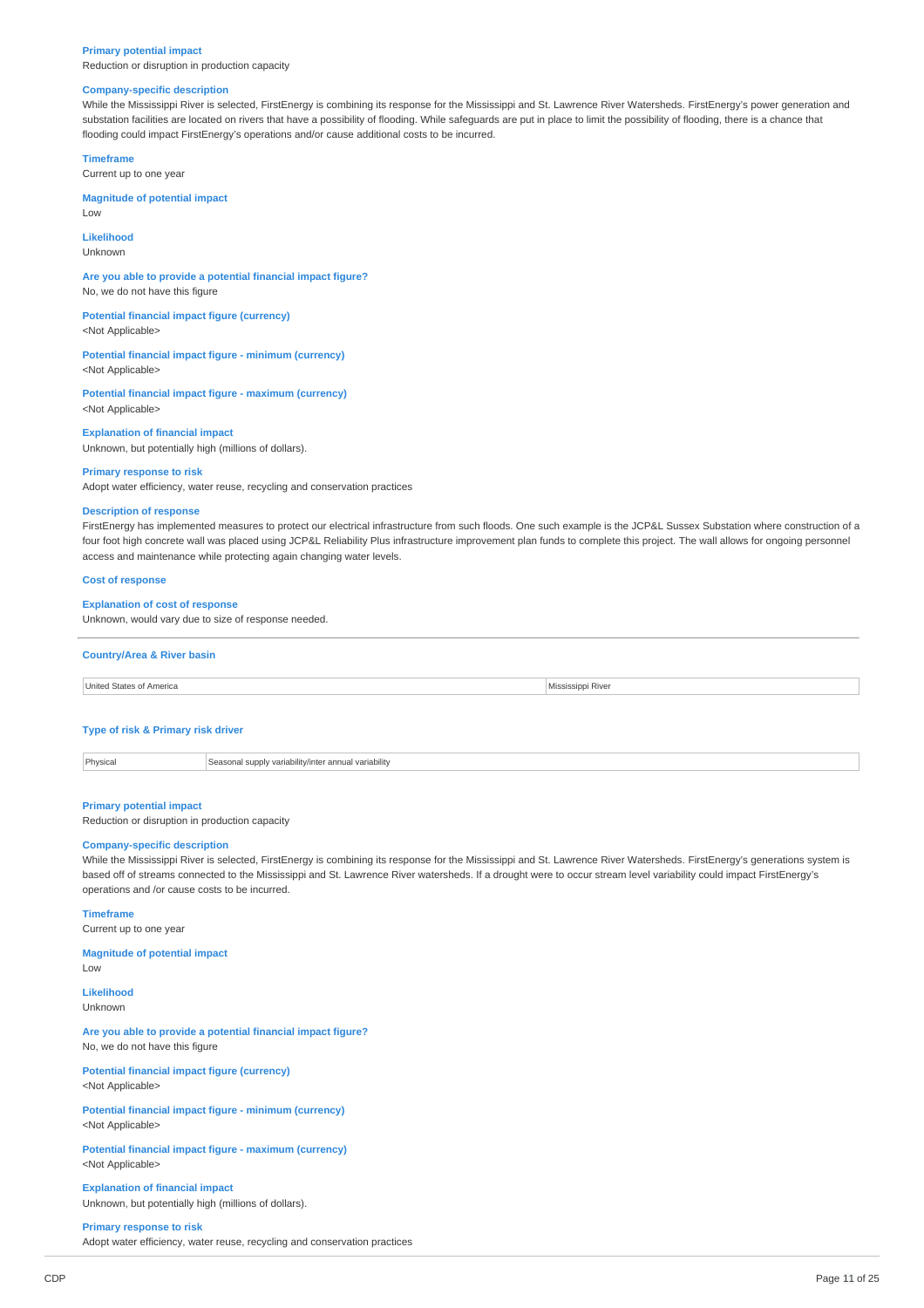#### **Primary potential impact**

Reduction or disruption in production capacity

#### **Company-specific description**

While the Mississippi River is selected, FirstEnergy is combining its response for the Mississippi and St. Lawrence River Watersheds. FirstEnergy's power generation and substation facilities are located on rivers that have a possibility of flooding. While safeguards are put in place to limit the possibility of flooding, there is a chance that flooding could impact FirstEnergy's operations and/or cause additional costs to be incurred.

### **Timeframe**

Current up to one year

**Magnitude of potential impact** Low

#### **Likelihood**

Unknown

**Are you able to provide a potential financial impact figure?** No, we do not have this figure

**Potential financial impact figure (currency)** <Not Applicable>

**Potential financial impact figure - minimum (currency)** <Not Applicable>

**Potential financial impact figure - maximum (currency)** <Not Applicable>

#### **Explanation of financial impact**

Unknown, but potentially high (millions of dollars).

### **Primary response to risk**

Adopt water efficiency, water reuse, recycling and conservation practices

### **Description of response**

FirstEnergy has implemented measures to protect our electrical infrastructure from such floods. One such example is the JCP&L Sussex Substation where construction of a four foot high concrete wall was placed using JCP&L Reliability Plus infrastructure improvement plan funds to complete this project. The wall allows for ongoing personnel access and maintenance while protecting again changing water levels.

#### **Cost of response**

#### **Explanation of cost of response**

Unknown, would vary due to size of response needed.

#### **Country/Area & River basin**



#### **Type of risk & Primary risk driver**

Physical Seasonal supply variability/inter annual variability

#### **Primary potential impact**

Reduction or disruption in production capacity

### **Company-specific description**

While the Mississippi River is selected, FirstEnergy is combining its response for the Mississippi and St. Lawrence River Watersheds. FirstEnergy's generations system is based off of streams connected to the Mississippi and St. Lawrence River watersheds. If a drought were to occur stream level variability could impact FirstEnergy's operations and /or cause costs to be incurred.

#### **Timeframe**

Current up to one year

#### **Magnitude of potential impact**

Low

**Likelihood** Unknown

**Are you able to provide a potential financial impact figure?** No, we do not have this figure

**Potential financial impact figure (currency)** <Not Applicable>

**Potential financial impact figure - minimum (currency)** <Not Applicable>

**Potential financial impact figure - maximum (currency)** <Not Applicable>

**Explanation of financial impact** Unknown, but potentially high (millions of dollars).

### **Primary response to risk**

Adopt water efficiency, water reuse, recycling and conservation practices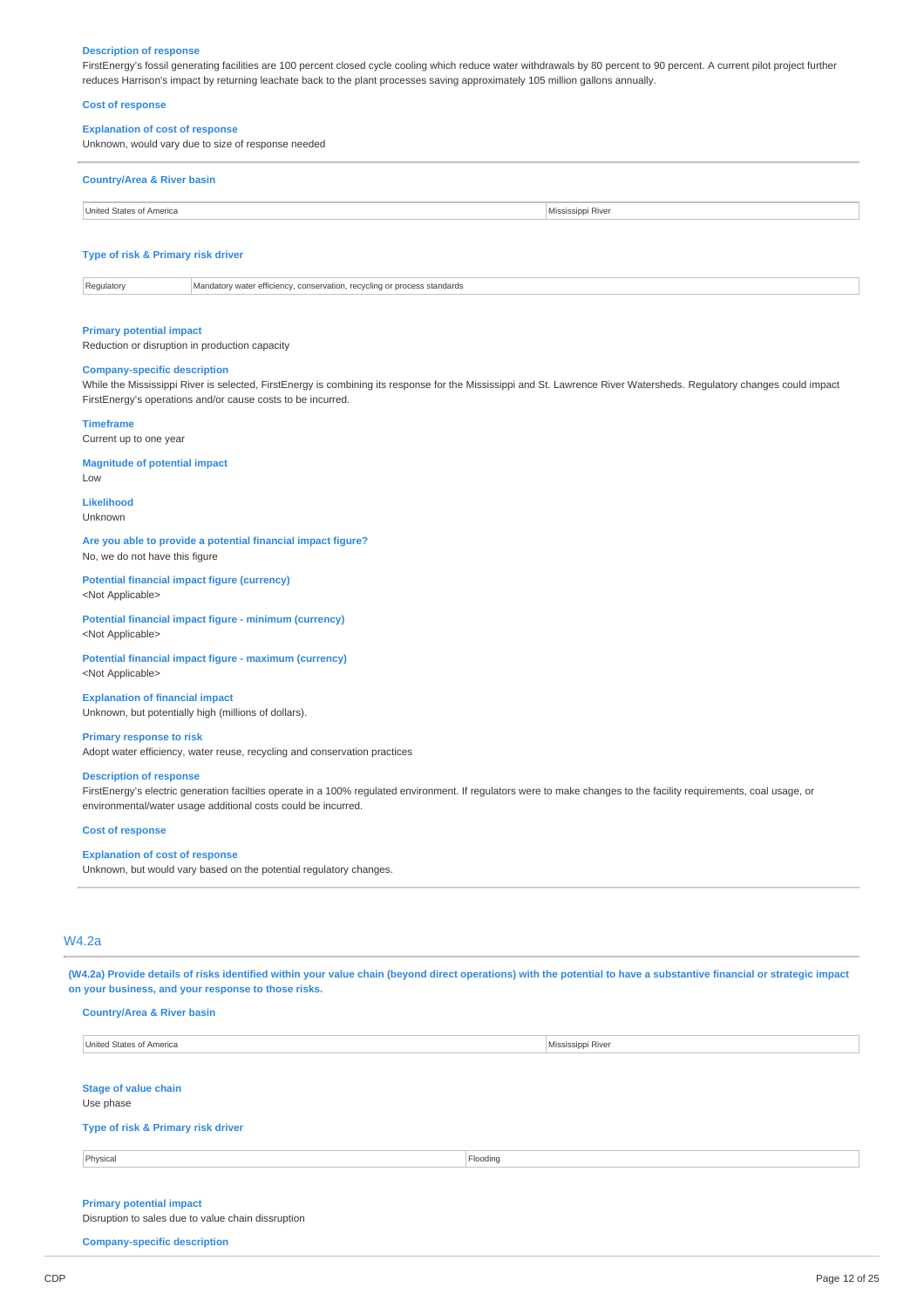#### **Description of response**

FirstEnergy's fossil generating facilities are 100 percent closed cycle cooling which reduce water withdrawals by 80 percent to 90 percent. A current pilot project further reduces Harrison's impact by returning leachate back to the plant processes saving approximately 105 million gallons annually.

#### **Cost of response**

### **Explanation of cost of response**

Unknown, would vary due to size of response needed

# **Country/Area & River basin**

United States of America **Mississippi River** 

### **Type of risk & Primary risk driver**

Regulatory Mandatory water efficiency, conservation, recycling or process standards

#### **Primary potential impact**

Reduction or disruption in production capacity

# **Company-specific description**

While the Mississippi River is selected, FirstEnergy is combining its response for the Mississippi and St. Lawrence River Watersheds. Regulatory changes could impact FirstEnergy's operations and/or cause costs to be incurred.

#### **Timeframe**

Current up to one year

**Magnitude of potential impact**

 $\overline{L}$   $\Omega M$ 

**Likelihood** Unknown

#### **Are you able to provide a potential financial impact figure?** No, we do not have this figure

**Potential financial impact figure (currency)**

<Not Applicable>

#### **Potential financial impact figure - minimum (currency)** <Not Applicable>

**Potential financial impact figure - maximum (currency)** <Not Applicable>

### **Explanation of financial impact** Unknown, but potentially high (millions of dollars).

#### **Primary response to risk**

Adopt water efficiency, water reuse, recycling and conservation practices

#### **Description of response**

FirstEnergy's electric generation facilties operate in a 100% regulated environment. If regulators were to make changes to the facility requirements, coal usage, or environmental/water usage additional costs could be incurred.

#### **Cost of response**

#### **Explanation of cost of response**

Unknown, but would vary based on the potential regulatory changes.

### W4.2a

(W4.2a) Provide details of risks identified within your value chain (beyond direct operations) with the potential to have a substantive financial or strategic impact **on your business, and your response to those risks.**

| <b>Country/Area &amp; River basin</b> |  |  |  |  |
|---------------------------------------|--|--|--|--|
| United States of America              |  |  |  |  |
|                                       |  |  |  |  |
| <b>Stage of value chain</b>           |  |  |  |  |
| Use phase                             |  |  |  |  |

#### **Type of risk & Primary risk driver**

Physical Flooding

**Mississippi River** 

### **Primary potential impact**

Disruption to sales due to value chain dissruption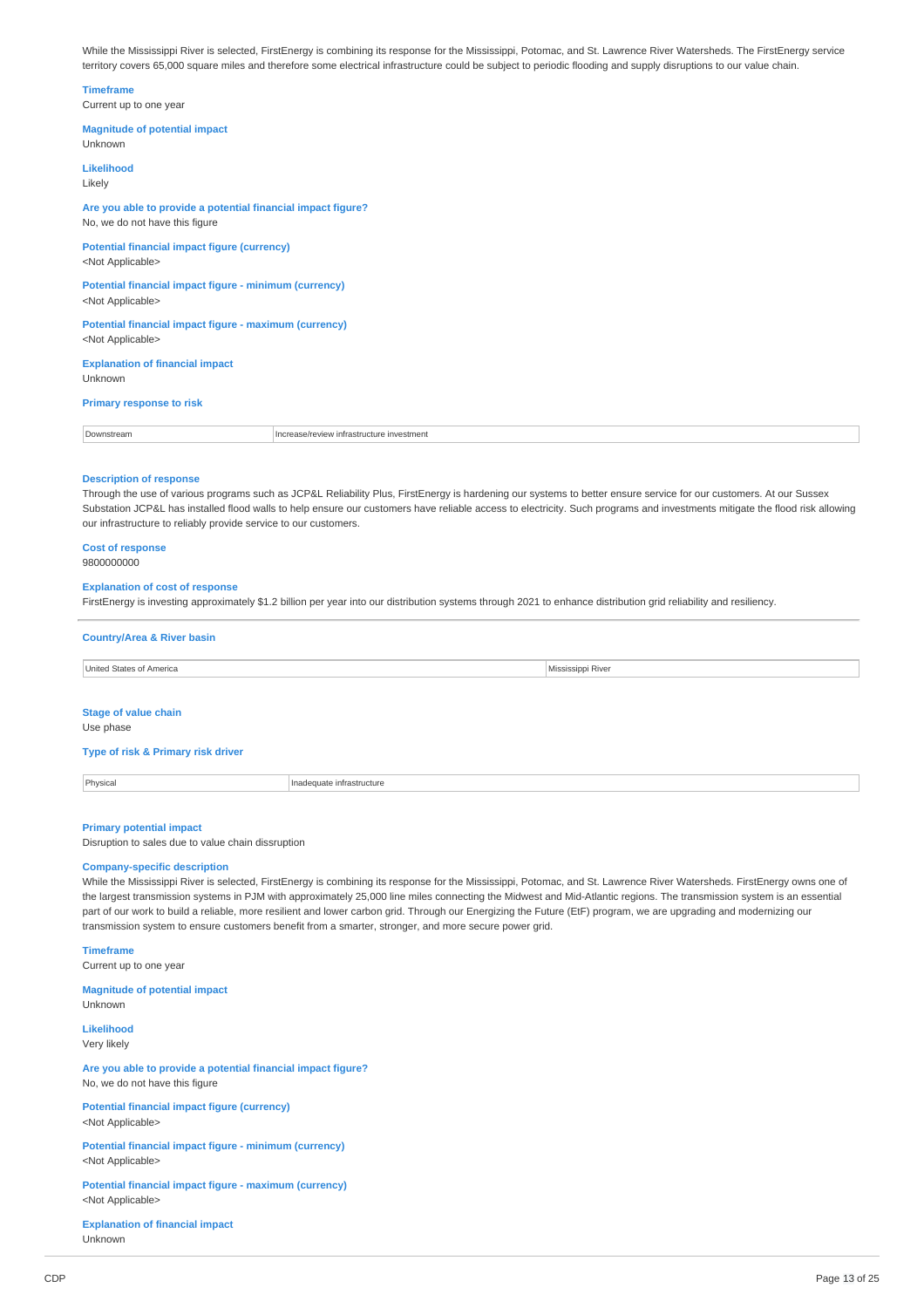While the Mississippi River is selected, FirstEnergy is combining its response for the Mississippi, Potomac, and St. Lawrence River Watersheds. The FirstEnergy service territory covers 65,000 square miles and therefore some electrical infrastructure could be subject to periodic flooding and supply disruptions to our value chain.

#### **Timeframe**

Current up to one year

### **Magnitude of potential impact** Unknown

**Likelihood** Likely

#### **Are you able to provide a potential financial impact figure?** No, we do not have this figure

**Potential financial impact figure (currency)** <Not Applicable>

#### **Potential financial impact figure - minimum (currency)** <Not Applicable>

**Potential financial impact figure - maximum (currency)** <Not Applicable>

### **Explanation of financial impact** Unknown

## **Primary response to risk**

| Downstrean | Increase/review in<br>infrastructure investment |
|------------|-------------------------------------------------|
|------------|-------------------------------------------------|

#### **Description of response**

Through the use of various programs such as JCP&L Reliability Plus, FirstEnergy is hardening our systems to better ensure service for our customers. At our Sussex Substation JCP&L has installed flood walls to help ensure our customers have reliable access to electricity. Such programs and investments mitigate the flood risk allowing our infrastructure to reliably provide service to our customers.

### **Cost of response**

9800000000

#### **Explanation of cost of response**

FirstEnergy is investing approximately \$1.2 billion per year into our distribution systems through 2021 to enhance distribution grid reliability and resiliency.

# **Country/Area & River basin**

| United States of America    | Mississippi River |
|-----------------------------|-------------------|
|                             |                   |
| <b>Stage of value chain</b> |                   |
| Use phase                   |                   |

#### **Type of risk & Primary risk driver**

Physical **Inadequate infrastructure** 

### **Primary potential impact**

Disruption to sales due to value chain dissruption

### **Company-specific description**

While the Mississippi River is selected, FirstEnergy is combining its response for the Mississippi, Potomac, and St. Lawrence River Watersheds. FirstEnergy owns one of the largest transmission systems in PJM with approximately 25,000 line miles connecting the Midwest and Mid-Atlantic regions. The transmission system is an essential part of our work to build a reliable, more resilient and lower carbon grid. Through our Energizing the Future (EtF) program, we are upgrading and modernizing our transmission system to ensure customers benefit from a smarter, stronger, and more secure power grid.

**Timeframe**

Current up to one year

**Magnitude of potential impact** Unknown

**Likelihood** Very likely

**Are you able to provide a potential financial impact figure?** No, we do not have this figure

**Potential financial impact figure (currency)** <Not Applicable>

**Potential financial impact figure - minimum (currency)** <Not Applicable>

**Potential financial impact figure - maximum (currency)** <Not Applicable>

**Explanation of financial impact** Unknown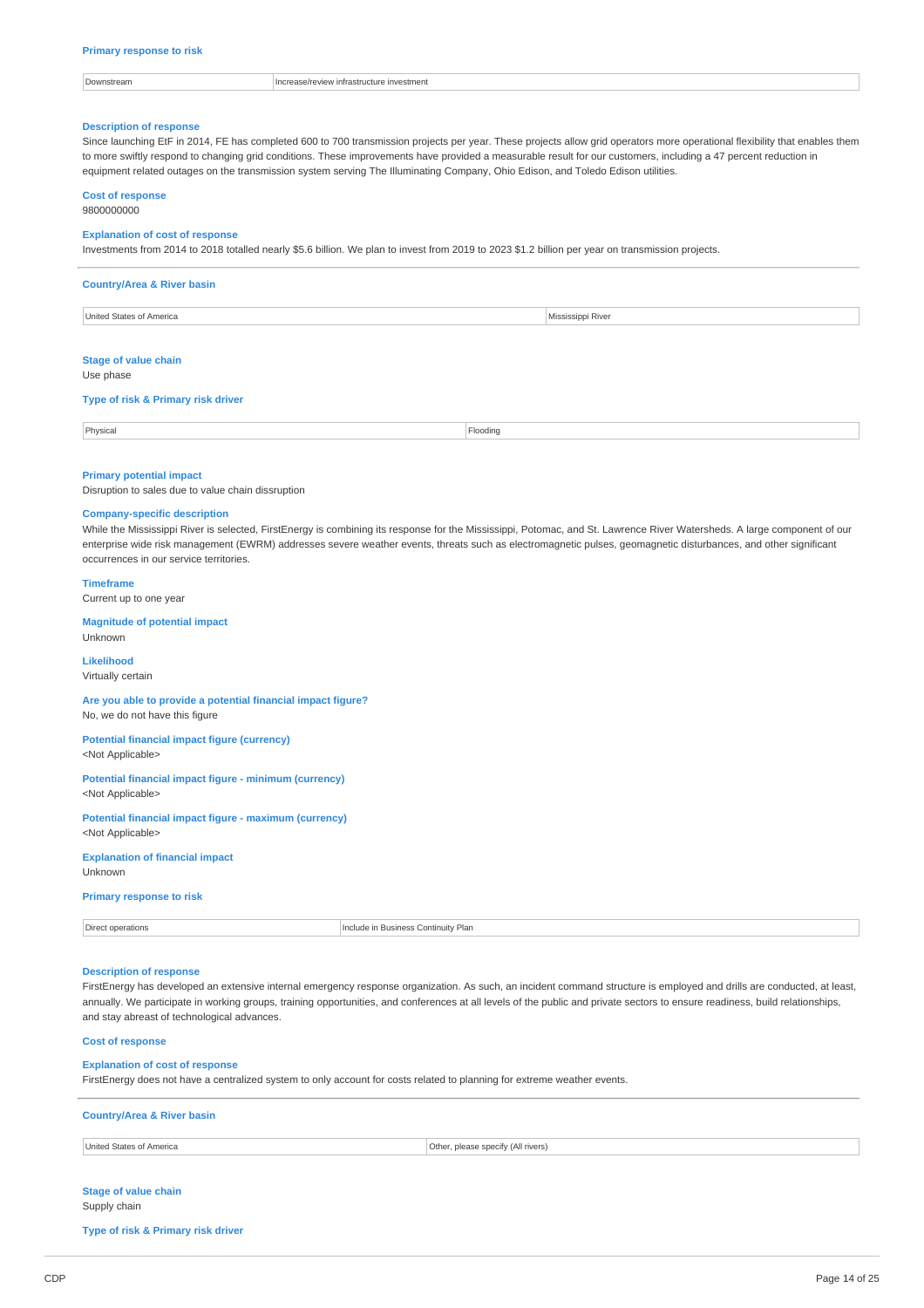| )wnstream | Thcrease/review infrastructure investment |
|-----------|-------------------------------------------|
|           |                                           |
|           |                                           |

### **Description of response**

Since launching EtF in 2014, FE has completed 600 to 700 transmission projects per year. These projects allow grid operators more operational flexibility that enables them to more swiftly respond to changing grid conditions. These improvements have provided a measurable result for our customers, including a 47 percent reduction in equipment related outages on the transmission system serving The Illuminating Company, Ohio Edison, and Toledo Edison utilities.

#### **Cost of response**

9800000000

#### **Explanation of cost of response**

Investments from 2014 to 2018 totalled nearly \$5.6 billion. We plan to invest from 2019 to 2023 \$1.2 billion per year on transmission projects.

| <b>Country/Area &amp; River basin</b>    |                   |  |  |  |
|------------------------------------------|-------------------|--|--|--|
| United States of America                 | Mississippi River |  |  |  |
| <b>Stage of value chain</b><br>Use phase |                   |  |  |  |

#### **Type of risk & Primary risk driver**

| Physical<br>. | Floodina<br>. |
|---------------|---------------|
|               |               |

#### **Primary potential impact**

Disruption to sales due to value chain dissruption

#### **Company-specific description**

While the Mississippi River is selected, FirstEnergy is combining its response for the Mississippi, Potomac, and St. Lawrence River Watersheds. A large component of our enterprise wide risk management (EWRM) addresses severe weather events, threats such as electromagnetic pulses, geomagnetic disturbances, and other significant occurrences in our service territories.

#### **Timeframe**

Current up to one year

# **Magnitude of potential impact**

Unknown

#### **Likelihood** Virtually certain

### **Are you able to provide a potential financial impact figure?**

No, we do not have this figure

#### **Potential financial impact figure (currency)** <Not Applicable>

#### **Potential financial impact figure - minimum (currency)** <Not Applicable>

#### **Potential financial impact figure - maximum (currency)** <Not Applicable>

# **Explanation of financial impact**

Unknown

### **Primary response to risk**

| <b>Section</b> |                    |
|----------------|--------------------|
| operations     | Nude in Business   |
| Direct         | ss Continuitv Plan |
| .              |                    |
| .              |                    |
|                |                    |

### **Description of response**

FirstEnergy has developed an extensive internal emergency response organization. As such, an incident command structure is employed and drills are conducted, at least, annually. We participate in working groups, training opportunities, and conferences at all levels of the public and private sectors to ensure readiness, build relationships, and stay abreast of technological advances.

#### **Cost of response**

#### **Explanation of cost of response**

FirstEnergy does not have a centralized system to only account for costs related to planning for extreme weather events.

| <b>Country/Area &amp; River basin</b> |  |  |  |
|---------------------------------------|--|--|--|
|                                       |  |  |  |

| <b>United States</b><br><sup>s</sup> America | $\n  theo.\n$<br>snee<br>rivers <sup>1</sup><br>∵⊪v tA⊪<br>53.J<br>. |
|----------------------------------------------|----------------------------------------------------------------------|
|                                              |                                                                      |

#### **Stage of value chain** Supply chain

**Type of risk & Primary risk driver**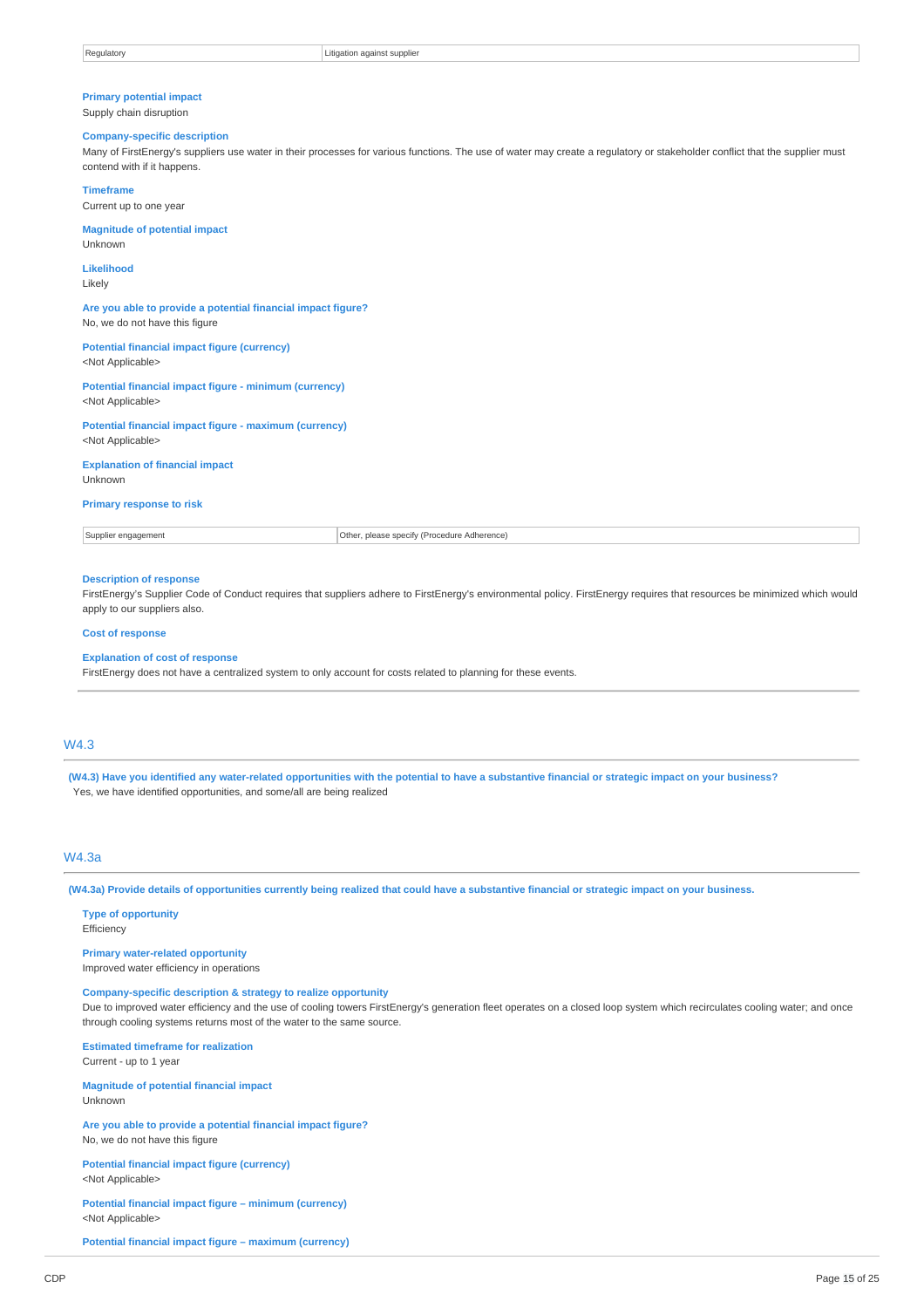### **Primary potential impact**

Supply chain disruption

#### **Company-specific description**

Many of FirstEnergy's suppliers use water in their processes for various functions. The use of water may create a regulatory or stakeholder conflict that the supplier must contend with if it happens.

#### **Timeframe**

Current up to one year

**Magnitude of potential impact** Unknown

### **Likelihood**

Likely

**Are you able to provide a potential financial impact figure?** No, we do not have this figure

#### **Potential financial impact figure (currency)** <Not Applicable>

**Potential financial impact figure - minimum (currency)** <Not Applicable>

**Potential financial impact figure - maximum (currency)** <Not Applicable>

#### **Explanation of financial impact** Unknown

### **Primary response to risk**

Supplier engagement **Constrainers** Cherne Cherne Cherne Cherne Cherne Cherne Cherne Cherne Cherne Cherne Cherne Cherne Cherne Cherne Cherne Cherne Cherne Cherne Cherne Cherne Cherne Cherne Cherne Cherne Cherne Cherne Chern

### **Description of response**

FirstEnergy's Supplier Code of Conduct requires that suppliers adhere to FirstEnergy's environmental policy. FirstEnergy requires that resources be minimized which would apply to our suppliers also.

#### **Cost of response**

#### **Explanation of cost of response**

FirstEnergy does not have a centralized system to only account for costs related to planning for these events.

### W4.3

(W4.3) Have you identified any water-related opportunities with the potential to have a substantive financial or strategic impact on your business? Yes, we have identified opportunities, and some/all are being realized

### W4.3a

(W4.3a) Provide details of opportunities currently being realized that could have a substantive financial or strategic impact on your business.

#### **Type of opportunity Efficiency**

#### **Primary water-related opportunity** Improved water efficiency in operations

**Company-specific description & strategy to realize opportunity**

Due to improved water efficiency and the use of cooling towers FirstEnergy's generation fleet operates on a closed loop system which recirculates cooling water; and once through cooling systems returns most of the water to the same source.

**Estimated timeframe for realization** Current - up to 1 year

#### **Magnitude of potential financial impact** Unknown

**Are you able to provide a potential financial impact figure?** No, we do not have this figure

#### **Potential financial impact figure (currency)** <Not Applicable>

**Potential financial impact figure – minimum (currency)** <Not Applicable>

**Potential financial impact figure – maximum (currency)**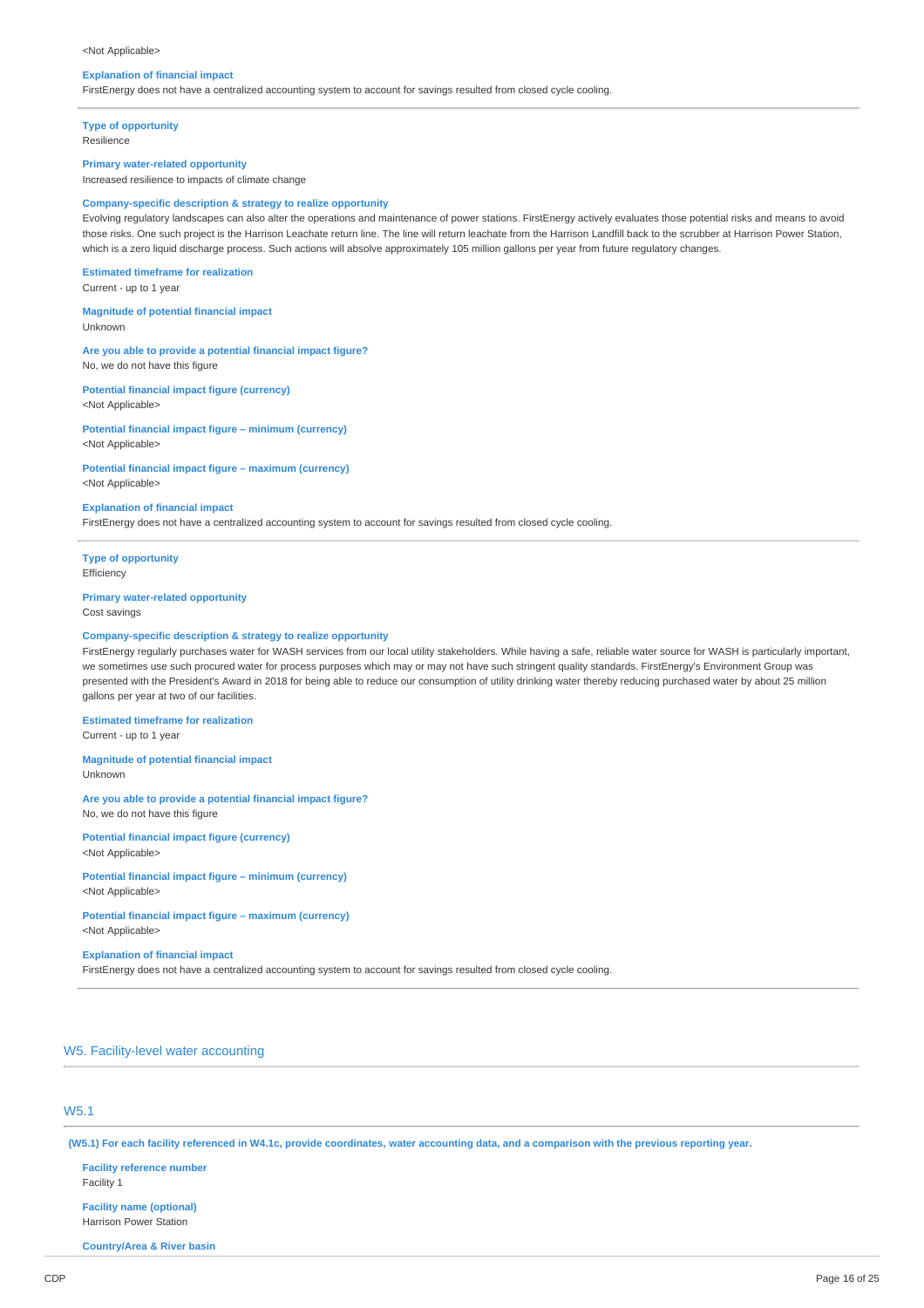#### <Not Applicable>

#### **Explanation of financial impact**

FirstEnergy does not have a centralized accounting system to account for savings resulted from closed cycle cooling.

**Type of opportunity**

Resilience

#### **Primary water-related opportunity**

Increased resilience to impacts of climate change

#### **Company-specific description & strategy to realize opportunity**

Evolving regulatory landscapes can also alter the operations and maintenance of power stations. FirstEnergy actively evaluates those potential risks and means to avoid those risks. One such project is the Harrison Leachate return line. The line will return leachate from the Harrison Landfill back to the scrubber at Harrison Power Station, which is a zero liquid discharge process. Such actions will absolve approximately 105 million gallons per year from future regulatory changes.

**Estimated timeframe for realization** Current - up to 1 year

**Magnitude of potential financial impact** Unknown

**Are you able to provide a potential financial impact figure?** No, we do not have this figure

**Potential financial impact figure (currency)** <Not Applicable>

**Potential financial impact figure – minimum (currency)** <Not Applicable>

**Potential financial impact figure – maximum (currency)** <Not Applicable>

#### **Explanation of financial impact**

FirstEnergy does not have a centralized accounting system to account for savings resulted from closed cycle cooling.

**Type of opportunity Efficiency** 

#### **Primary water-related opportunity** Cost savings

### **Company-specific description & strategy to realize opportunity**

FirstEnergy regularly purchases water for WASH services from our local utility stakeholders. While having a safe, reliable water source for WASH is particularly important, we sometimes use such procured water for process purposes which may or may not have such stringent quality standards. FirstEnergy's Environment Group was presented with the President's Award in 2018 for being able to reduce our consumption of utility drinking water thereby reducing purchased water by about 25 million gallons per year at two of our facilities.

**Estimated timeframe for realization** Current - up to 1 year

**Magnitude of potential financial impact** Unknown

**Are you able to provide a potential financial impact figure?** No, we do not have this figure

**Potential financial impact figure (currency)** <Not Applicable>

**Potential financial impact figure – minimum (currency)** <Not Applicable>

**Potential financial impact figure – maximum (currency)** <Not Applicable>

**Explanation of financial impact**

FirstEnergy does not have a centralized accounting system to account for savings resulted from closed cycle cooling.

### W5. Facility-level water accounting

# W5.1

(W5.1) For each facility referenced in W4.1c, provide coordinates, water accounting data, and a comparison with the previous reporting year.

**Facility reference number** Facility 1 **Facility name (optional)** Harrison Power Station

**Country/Area & River basin**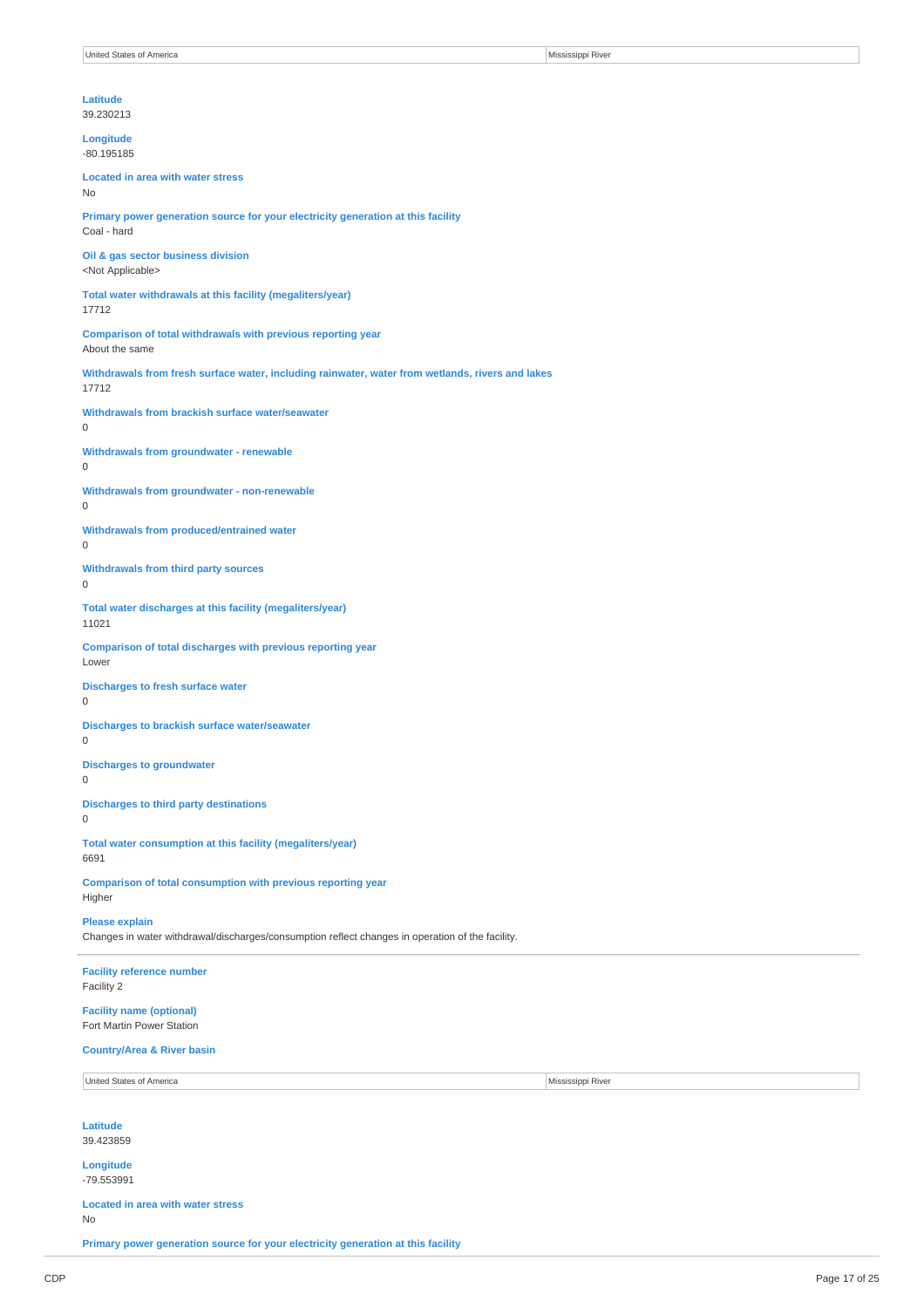39.230213

**Longitude** -80.195185

**Located in area with water stress** No

**Primary power generation source for your electricity generation at this facility** Coal - hard

**Oil & gas sector business division** <Not Applicable>

**Total water withdrawals at this facility (megaliters/year)** 17712

**Comparison of total withdrawals with previous reporting year** About the same

**Withdrawals from fresh surface water, including rainwater, water from wetlands, rivers and lakes** 17712

**Withdrawals from brackish surface water/seawater** 0

**Withdrawals from groundwater - renewable** 0

**Withdrawals from groundwater - non-renewable** 0

**Withdrawals from produced/entrained water** 0

**Withdrawals from third party sources**

0

**Total water discharges at this facility (megaliters/year)** 11021

**Comparison of total discharges with previous reporting year** Lower

**Discharges to fresh surface water**

0

**Discharges to brackish surface water/seawater** 0

**Discharges to groundwater** 0

**Discharges to third party destinations**  $\Omega$ 

**Total water consumption at this facility (megaliters/year)** 6691

**Comparison of total consumption with previous reporting year** Higher

**Please explain**

Changes in water withdrawal/discharges/consumption reflect changes in operation of the facility.

**Facility reference number** Facility 2

**Facility name (optional)** Fort Martin Power Station

### **Country/Area & River basin**

United States of America Mississippi River

**Latitude** 39.423859

**Longitude**

-79.553991

**Located in area with water stress** No

**Primary power generation source for your electricity generation at this facility**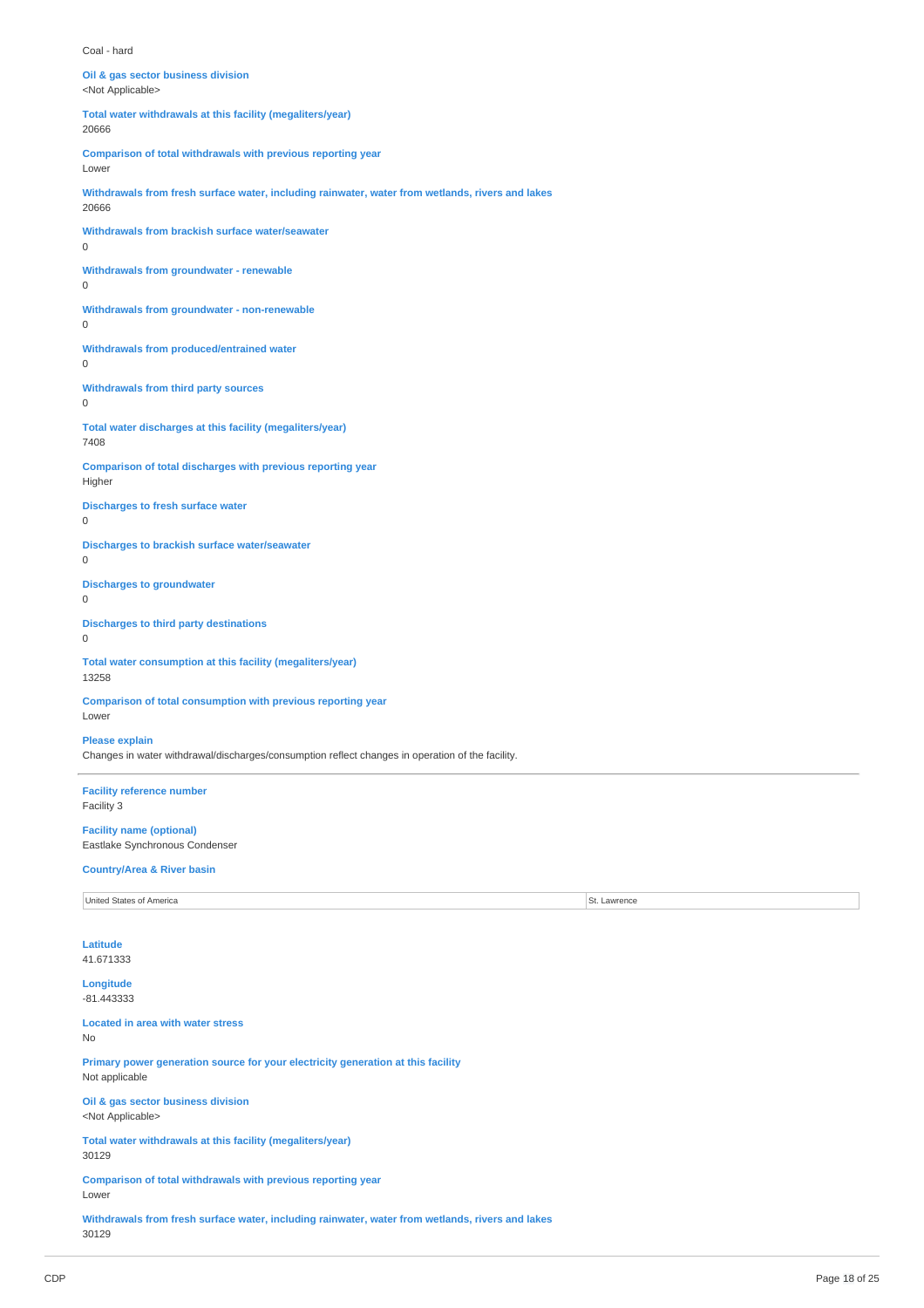Coal - hard

| Oil & gas sector business division<br><not applicable=""></not>                                                           |              |
|---------------------------------------------------------------------------------------------------------------------------|--------------|
| Total water withdrawals at this facility (megaliters/year)<br>20666                                                       |              |
| Comparison of total withdrawals with previous reporting year<br>Lower                                                     |              |
| Withdrawals from fresh surface water, including rainwater, water from wetlands, rivers and lakes<br>20666                 |              |
| Withdrawals from brackish surface water/seawater<br>$\boldsymbol{0}$                                                      |              |
| Withdrawals from groundwater - renewable<br>0                                                                             |              |
| Withdrawals from groundwater - non-renewable<br>0                                                                         |              |
| <b>Withdrawals from produced/entrained water</b><br>0                                                                     |              |
| Withdrawals from third party sources<br>$\mathsf 0$                                                                       |              |
| Total water discharges at this facility (megaliters/year)<br>7408                                                         |              |
| Comparison of total discharges with previous reporting year<br>Higher                                                     |              |
| <b>Discharges to fresh surface water</b><br>$\mathsf 0$                                                                   |              |
| Discharges to brackish surface water/seawater<br>0                                                                        |              |
| <b>Discharges to groundwater</b><br>$\mathsf 0$                                                                           |              |
| <b>Discharges to third party destinations</b><br>$\mathsf 0$                                                              |              |
| Total water consumption at this facility (megaliters/year)<br>13258                                                       |              |
| <b>Comparison of total consumption with previous reporting year</b><br>Lower                                              |              |
| <b>Please explain</b><br>Changes in water withdrawal/discharges/consumption reflect changes in operation of the facility. |              |
| <b>Facility reference number</b><br>Facility 3                                                                            |              |
| <b>Facility name (optional)</b><br>Eastlake Synchronous Condenser                                                         |              |
| <b>Country/Area &amp; River basin</b>                                                                                     |              |
| United States of America                                                                                                  | St. Lawrence |
| <b>Latitude</b><br>41.671333                                                                                              |              |
| Longitude<br>$-81.443333$                                                                                                 |              |
| <b>Located in area with water stress</b><br>No                                                                            |              |
| Primary power generation source for your electricity generation at this facility<br>Not applicable                        |              |
| Oil & gas sector business division<br><not applicable=""></not>                                                           |              |
| Total water withdrawals at this facility (megaliters/year)<br>30129                                                       |              |

**Comparison of total withdrawals with previous reporting year** Lower

**Withdrawals from fresh surface water, including rainwater, water from wetlands, rivers and lakes** 30129

 $\overline{a}$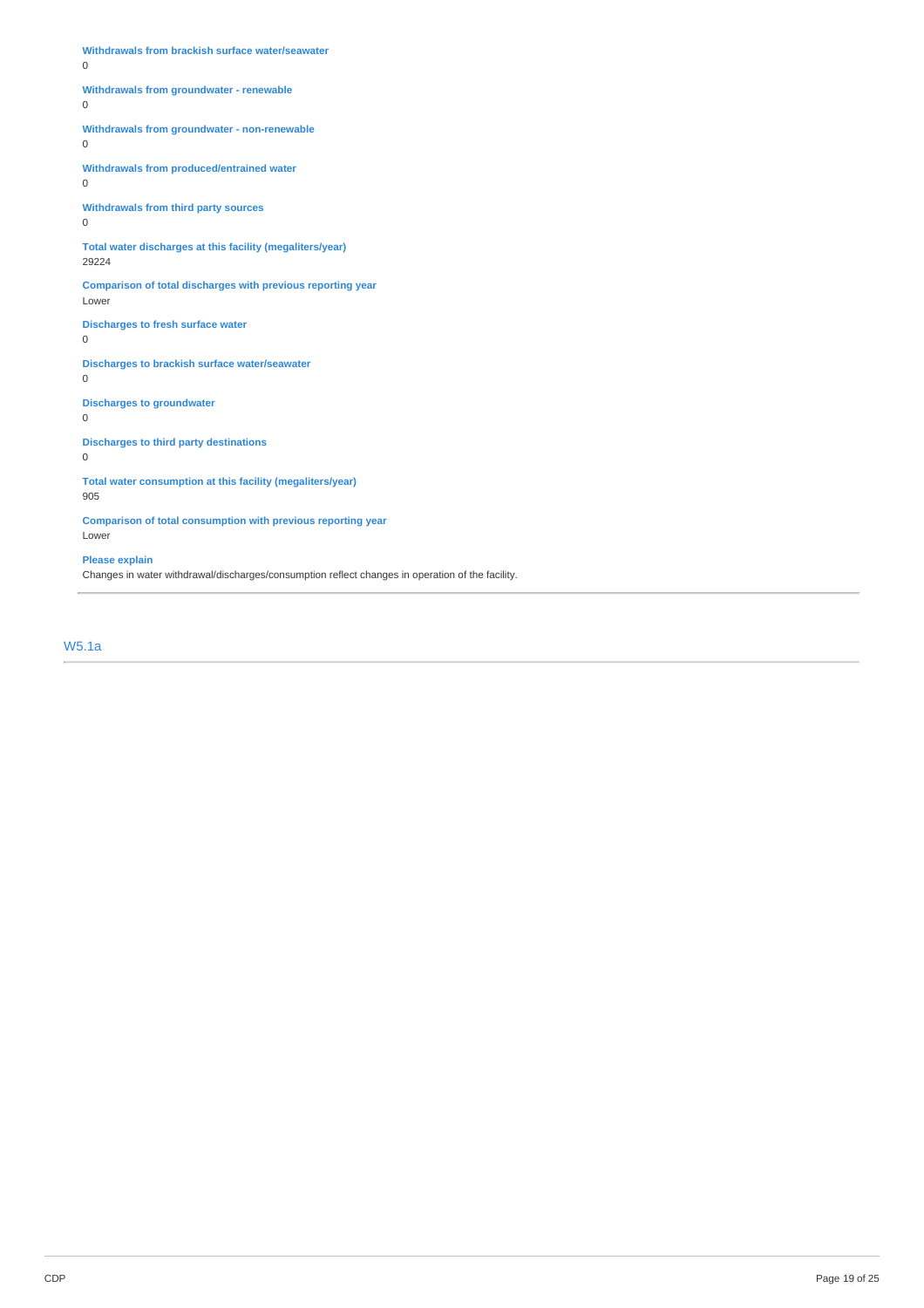**Withdrawals from brackish surface water/seawater** 0 **Withdrawals from groundwater - renewable** 0 **Withdrawals from groundwater - non-renewable** 0 **Withdrawals from produced/entrained water** 0 **Withdrawals from third party sources** 0 **Total water discharges at this facility (megaliters/year)** 29224 **Comparison of total discharges with previous reporting year** Lower **Discharges to fresh surface water** 0 **Discharges to brackish surface water/seawater** 0 **Discharges to groundwater** 0 **Discharges to third party destinations** 0 **Total water consumption at this facility (megaliters/year)** 905

**Comparison of total consumption with previous reporting year** Lower

### **Please explain**

Changes in water withdrawal/discharges/consumption reflect changes in operation of the facility.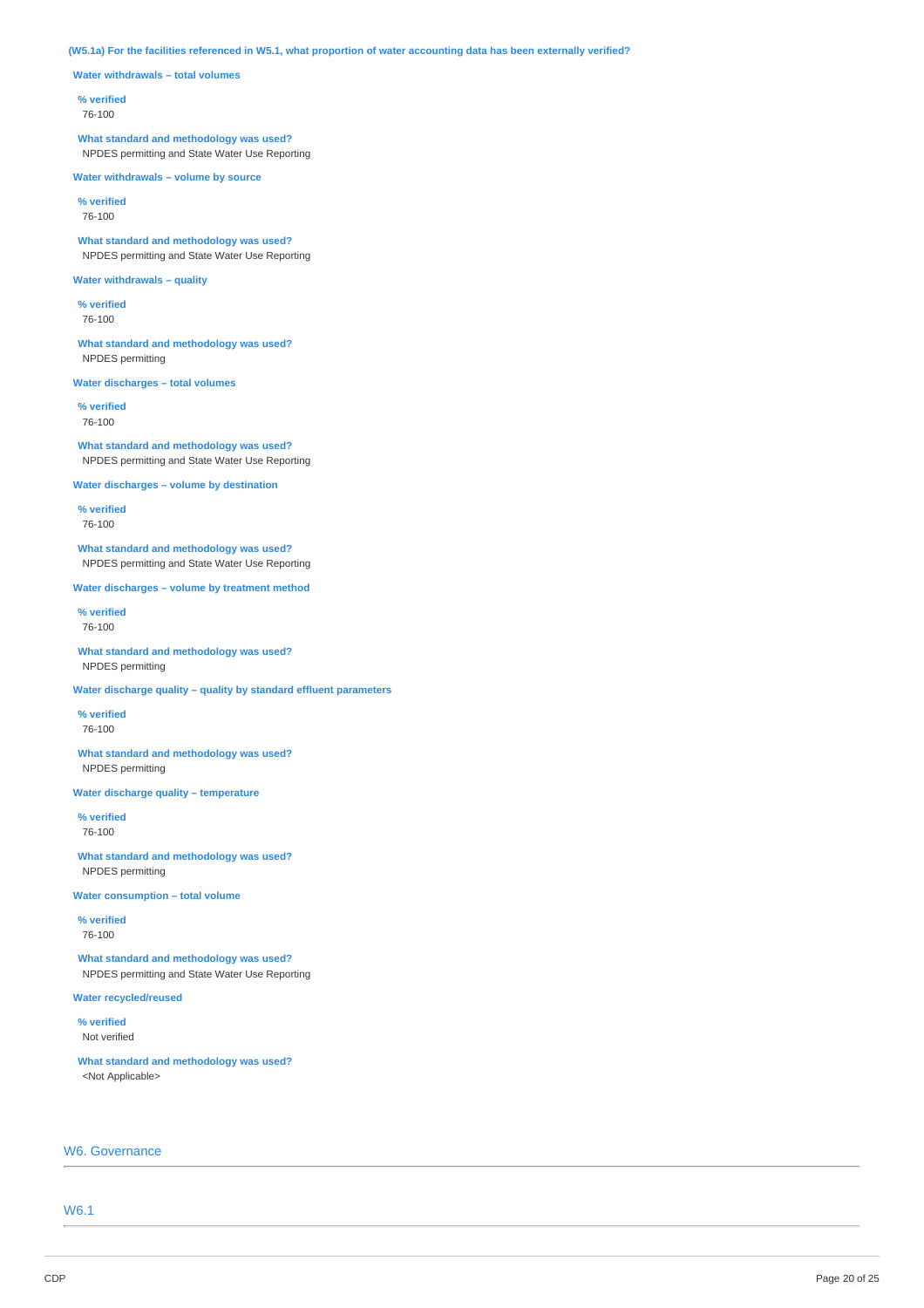(W5.1a) For the facilities referenced in W5.1, what proportion of water accounting data has been externally verified?

**Water withdrawals – total volumes**

### **% verified**

76-100

**What standard and methodology was used?** NPDES permitting and State Water Use Reporting

**Water withdrawals – volume by source**

**% verified** 76-100

**What standard and methodology was used?** NPDES permitting and State Water Use Reporting

### **Water withdrawals – quality**

**% verified** 76-100

**What standard and methodology was used?** NPDES permitting

**Water discharges – total volumes**

**% verified** 76-100

**What standard and methodology was used?** NPDES permitting and State Water Use Reporting

**Water discharges – volume by destination**

**% verified** 76-100

**What standard and methodology was used?** NPDES permitting and State Water Use Reporting

**Water discharges – volume by treatment method**

**% verified** 76-100

**What standard and methodology was used?** NPDES permitting

**Water discharge quality – quality by standard effluent parameters**

**% verified** 76-100

**What standard and methodology was used?** NPDES permitting

**Water discharge quality – temperature**

**% verified** 76-100

**What standard and methodology was used?** NPDES permitting

**Water consumption – total volume**

**% verified** 76-100

**What standard and methodology was used?** NPDES permitting and State Water Use Reporting

**Water recycled/reused**

**% verified** Not verified

**What standard and methodology was used?** <Not Applicable>

### W6. Governance

W6.1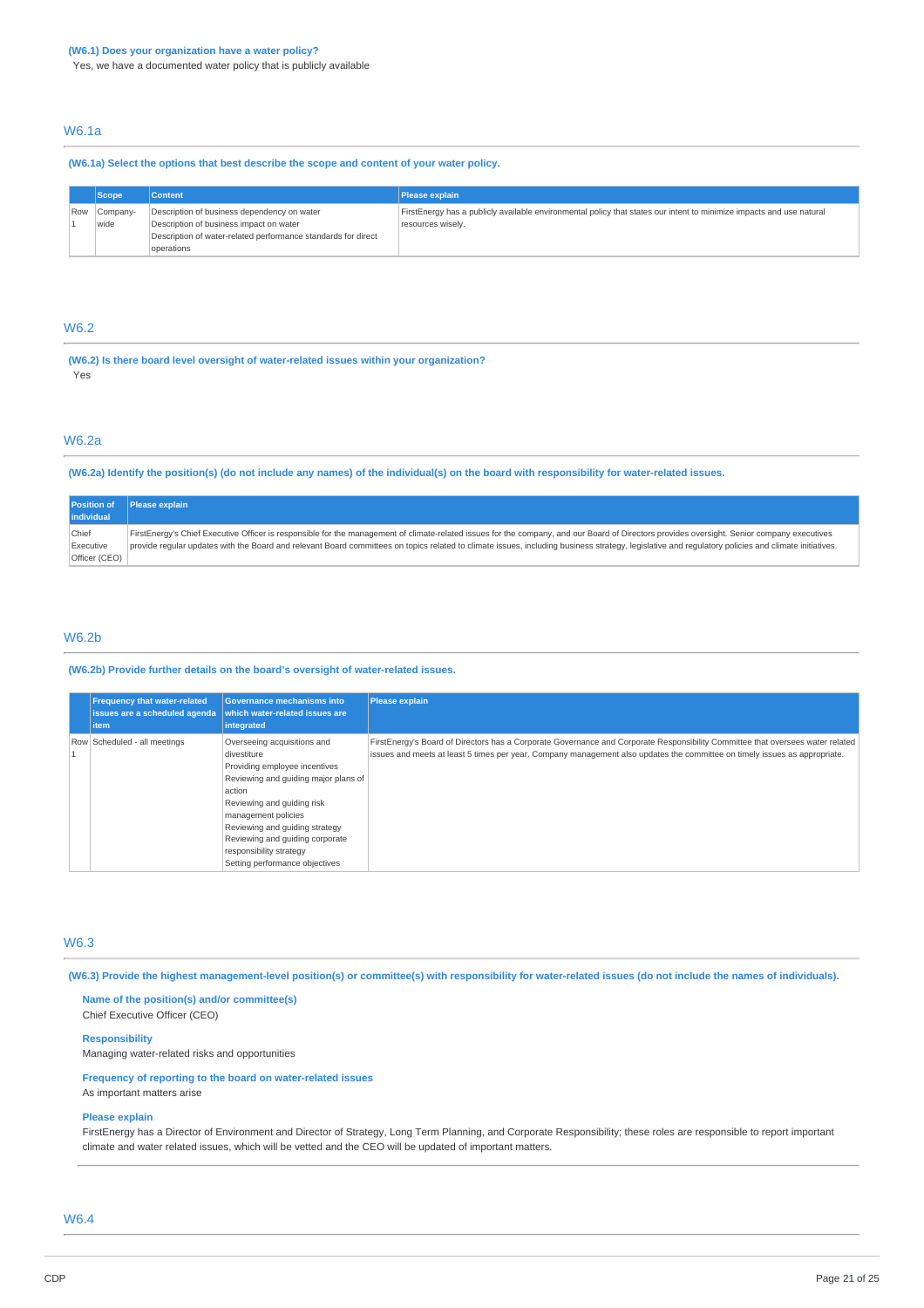Yes, we have a documented water policy that is publicly available

### W6.1a

**(W6.1a) Select the options that best describe the scope and content of your water policy.**

|     | <b>Scope</b> | Content                                                       | Please explain                                                                                                       |
|-----|--------------|---------------------------------------------------------------|----------------------------------------------------------------------------------------------------------------------|
| Row | Company-     | Description of business dependency on water                   | FirstEnergy has a publicly available environmental policy that states our intent to minimize impacts and use natural |
|     | wide         | Description of business impact on water                       | resources wisely.                                                                                                    |
|     |              | Description of water-related performance standards for direct |                                                                                                                      |
|     |              | operations                                                    |                                                                                                                      |

### W6.2

**(W6.2) Is there board level oversight of water-related issues within your organization?** Yes

### W6.2a

(W6.2a) Identify the position(s) (do not include any names) of the individual(s) on the board with responsibility for water-related issues.

|       | <b>Position of</b> | <b>Please explain</b>                                                                                                                                                                               |
|-------|--------------------|-----------------------------------------------------------------------------------------------------------------------------------------------------------------------------------------------------|
|       | <b>lindividual</b> |                                                                                                                                                                                                     |
| Chief |                    | FirstEnergy's Chief Executive Officer is responsible for the management of climate-related issues for the company, and our Board of Directors provides oversight. Senior company executives         |
|       | Executive          | provide reqular updates with the Board and relevant Board committees on topics related to climate issues, including business strategy, legislative and requlatory policies and climate initiatives. |
|       | Officer (CEO)      |                                                                                                                                                                                                     |

### W6.2b

**(W6.2b) Provide further details on the board's oversight of water-related issues.**

| <b>Frequency that water-related</b><br>issues are a scheduled agenda<br>litem | <b>Governance mechanisms into</b><br>which water-related issues are<br>integrated                                                                                                                                                                                                                                    | <b>Please explain</b>                                                                                                                                                                                                                                        |
|-------------------------------------------------------------------------------|----------------------------------------------------------------------------------------------------------------------------------------------------------------------------------------------------------------------------------------------------------------------------------------------------------------------|--------------------------------------------------------------------------------------------------------------------------------------------------------------------------------------------------------------------------------------------------------------|
| Row Scheduled - all meetings                                                  | Overseeing acquisitions and<br>divestiture<br>Providing employee incentives<br>Reviewing and guiding major plans of<br>action<br>Reviewing and guiding risk<br>management policies<br>Reviewing and guiding strategy<br>Reviewing and quiding corporate<br>responsibility strategy<br>Setting performance objectives | FirstEnergy's Board of Directors has a Corporate Governance and Corporate Responsibility Committee that oversees water related<br>issues and meets at least 5 times per year. Company management also updates the committee on timely issues as appropriate. |

# W6.3

(W6.3) Provide the highest management-level position(s) or committee(s) with responsibility for water-related issues (do not include the names of individuals).

**Name of the position(s) and/or committee(s)** Chief Executive Officer (CEO)

#### **Responsibility**

Managing water-related risks and opportunities

# **Frequency of reporting to the board on water-related issues**

As important matters arise

#### **Please explain**

FirstEnergy has a Director of Environment and Director of Strategy, Long Term Planning, and Corporate Responsibility; these roles are responsible to report important climate and water related issues, which will be vetted and the CEO will be updated of important matters.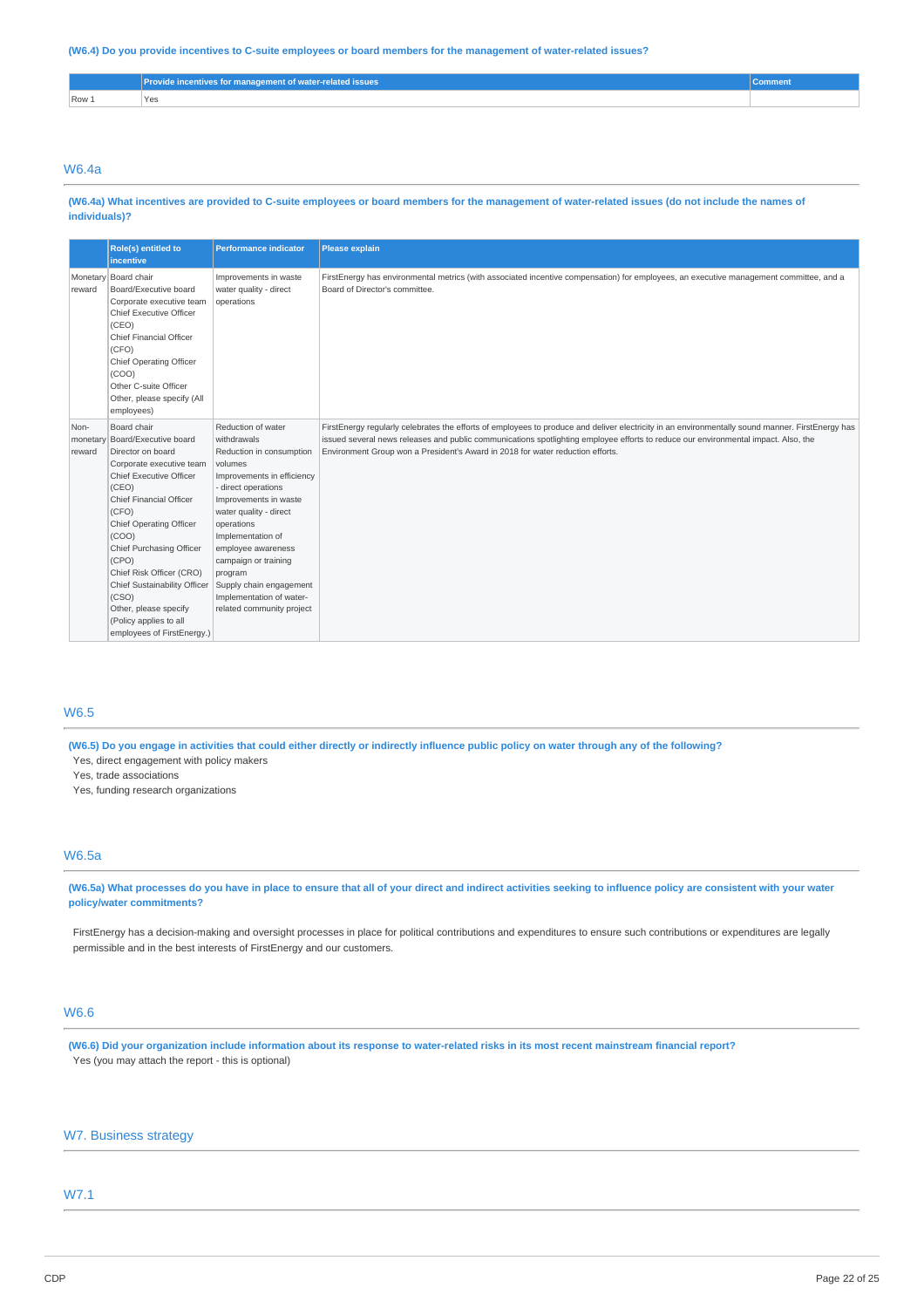(W6.4) Do you provide incentives to C-suite employees or board members for the management of water-related issues?

|                  | Provide incentives for management of water-related issues | ∪omment |
|------------------|-----------------------------------------------------------|---------|
| Row <sub>1</sub> | 'Yes                                                      |         |

### W6.4a

(W6.4a) What incentives are provided to C-suite employees or board members for the management of water-related issues (do not include the names of **individuals)?**

|                            | Role(s) entitled to<br><b>incentive</b>                                                                                                                                                                                                                                                                                                                                                             | <b>Performance indicator</b>                                                                                                                                                                                                                                                                                                                                     | <b>Please explain</b>                                                                                                                                                                                                                                                                                                                                                    |
|----------------------------|-----------------------------------------------------------------------------------------------------------------------------------------------------------------------------------------------------------------------------------------------------------------------------------------------------------------------------------------------------------------------------------------------------|------------------------------------------------------------------------------------------------------------------------------------------------------------------------------------------------------------------------------------------------------------------------------------------------------------------------------------------------------------------|--------------------------------------------------------------------------------------------------------------------------------------------------------------------------------------------------------------------------------------------------------------------------------------------------------------------------------------------------------------------------|
| reward                     | Monetary Board chair<br>Board/Executive board<br>Corporate executive team<br>Chief Executive Officer<br>(CEO)<br><b>Chief Financial Officer</b><br>(CFO)<br>Chief Operating Officer<br>(COO)<br>Other C-suite Officer<br>Other, please specify (All<br>employees)                                                                                                                                   | Improvements in waste<br>water quality - direct<br>operations                                                                                                                                                                                                                                                                                                    | FirstEnergy has environmental metrics (with associated incentive compensation) for employees, an executive management committee, and a<br>Board of Director's committee.                                                                                                                                                                                                 |
| Non-<br>monetary<br>reward | Board chair<br>Board/Executive board<br>Director on board<br>Corporate executive team<br>Chief Executive Officer<br>(CEO)<br><b>Chief Financial Officer</b><br>(CFO)<br>Chief Operating Officer<br>(COO)<br>Chief Purchasing Officer<br>(CPO)<br>Chief Risk Officer (CRO)<br>Chief Sustainability Officer<br>(CSO)<br>Other, please specify<br>(Policy applies to all<br>employees of FirstEnergy.) | Reduction of water<br>withdrawals<br>Reduction in consumption<br>volumes<br>Improvements in efficiency<br>- direct operations<br>Improvements in waste<br>water quality - direct<br>operations<br>Implementation of<br>employee awareness<br>campaign or training<br>program<br>Supply chain engagement<br>Implementation of water-<br>related community project | FirstEnergy regularly celebrates the efforts of employees to produce and deliver electricity in an environmentally sound manner. FirstEnergy has<br>issued several news releases and public communications spotlighting employee efforts to reduce our environmental impact. Also, the<br>Environment Group won a President's Award in 2018 for water reduction efforts. |

### W6.5

(W6.5) Do you engage in activities that could either directly or indirectly influence public policy on water through any of the following? Yes, direct engagement with policy makers

Yes, trade associations

Yes, funding research organizations

### W6.5a

(W6.5a) What processes do you have in place to ensure that all of your direct and indirect activities seeking to influence policy are consistent with your water **policy/water commitments?**

FirstEnergy has a decision-making and oversight processes in place for political contributions and expenditures to ensure such contributions or expenditures are legally permissible and in the best interests of FirstEnergy and our customers.

# W6.6

(W6.6) Did your organization include information about its response to water-related risks in its most recent mainstream financial report? Yes (you may attach the report - this is optional)

### W7. Business strategy

#### W7.1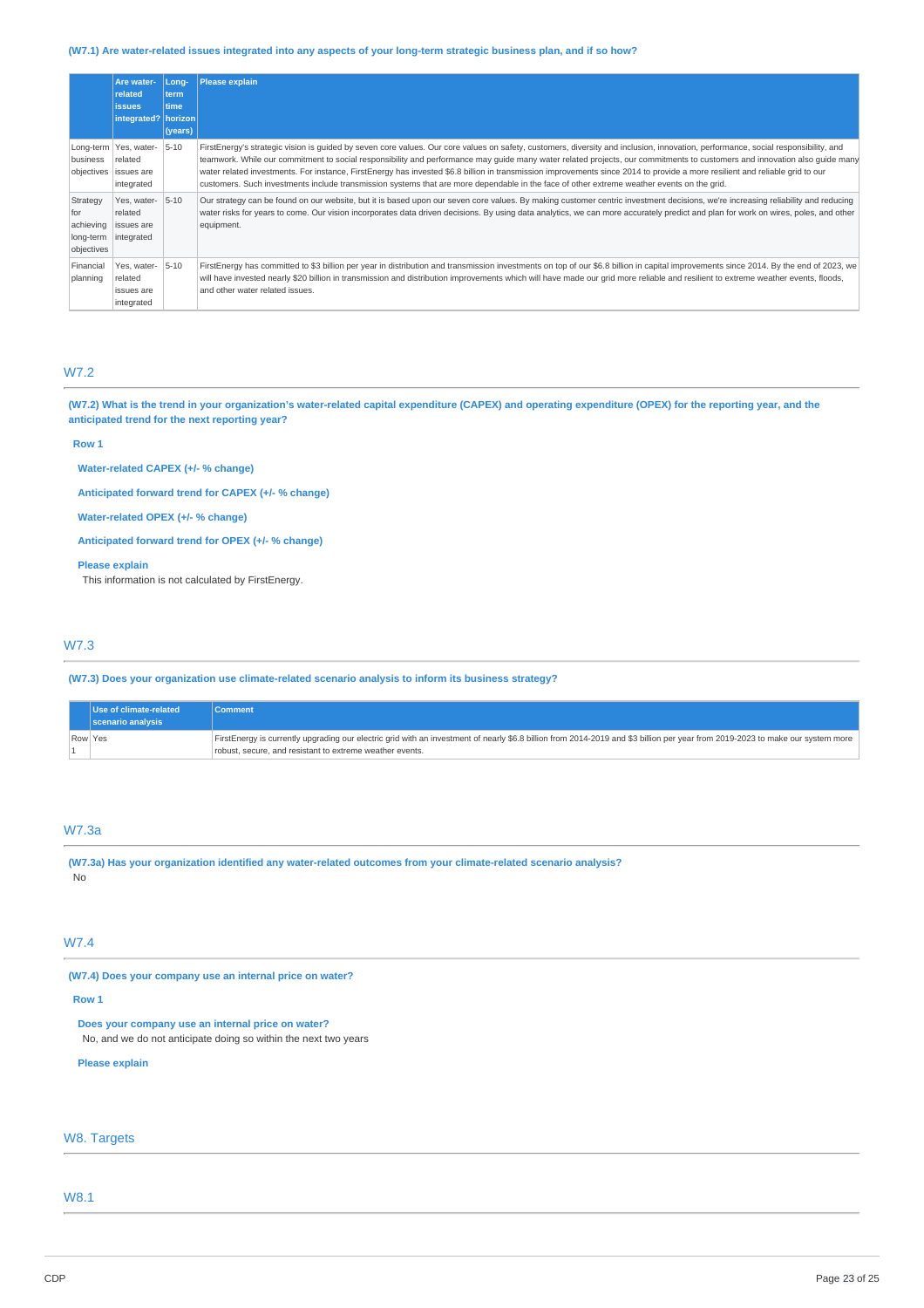### (W7.1) Are water-related issues integrated into any aspects of your long-term strategic business plan, and if so how?

|                                                         | Are water-<br>related<br><b>issues</b><br>integrated?   horizon | Long-<br>term<br>time<br>(years) | <b>Please explain</b>                                                                                                                                                                                                                                                                                                                                                                                                                                                                                                                                                                                                                                                                         |
|---------------------------------------------------------|-----------------------------------------------------------------|----------------------------------|-----------------------------------------------------------------------------------------------------------------------------------------------------------------------------------------------------------------------------------------------------------------------------------------------------------------------------------------------------------------------------------------------------------------------------------------------------------------------------------------------------------------------------------------------------------------------------------------------------------------------------------------------------------------------------------------------|
| business<br>objectives                                  | Long-term   Yes, water-<br>related<br>issues are<br>integrated  | $5 - 10$                         | FirstEnergy's strategic vision is quided by seven core values. Our core values on safety, customers, diversity and inclusion, innovation, performance, social responsibility, and<br>teamwork. While our commitment to social responsibility and performance may quide many water related projects, our commitments to customers and innovation also quide many<br>water related investments. For instance, FirstEnergy has invested \$6.8 billion in transmission improvements since 2014 to provide a more resilient and reliable grid to our<br>customers. Such investments include transmission systems that are more dependable in the face of other extreme weather events on the grid. |
| Strategy<br>for<br>achieving<br>long-term<br>objectives | Yes, water-<br>related<br>issues are<br>integrated              | $5 - 10$                         | Our strategy can be found on our website, but it is based upon our seven core values. By making customer centric investment decisions, we're increasing reliability and reducing<br>water risks for years to come. Our vision incorporates data driven decisions. By using data analytics, we can more accurately predict and plan for work on wires, poles, and other<br>equipment.                                                                                                                                                                                                                                                                                                          |
| Financial<br>planning                                   | Yes. water-<br>related<br>issues are<br>integrated              | $5 - 10$                         | FirstEnergy has committed to \$3 billion per year in distribution and transmission investments on top of our \$6.8 billion in capital improvements since 2014. By the end of 2023, we<br>will have invested nearly \$20 billion in transmission and distribution improvements which will have made our grid more reliable and resilient to extreme weather events, floods,<br>and other water related issues.                                                                                                                                                                                                                                                                                 |

# W7.2

(W7.2) What is the trend in your organization's water-related capital expenditure (CAPEX) and operating expenditure (OPEX) for the reporting year, and the **anticipated trend for the next reporting year?**

#### **Row 1**

**Water-related CAPEX (+/- % change)**

**Anticipated forward trend for CAPEX (+/- % change)**

**Water-related OPEX (+/- % change)**

**Anticipated forward trend for OPEX (+/- % change)**

#### **Please explain**

This information is not calculated by FirstEnergy.

### W7.3

**(W7.3) Does your organization use climate-related scenario analysis to inform its business strategy?**

|         | Use of climate-related<br>scenario analysis | <b>Comment</b>                                                                                                                                                                                                                             |
|---------|---------------------------------------------|--------------------------------------------------------------------------------------------------------------------------------------------------------------------------------------------------------------------------------------------|
| Row Yes |                                             | FirstEnergy is currently upgrading our electric grid with an investment of nearly \$6.8 billion from 2014-2019 and \$3 billion per year from 2019-2023 to make our system more<br>robust, secure, and resistant to extreme weather events. |

### W7.3a

**(W7.3a) Has your organization identified any water-related outcomes from your climate-related scenario analysis?** No

# W7.4

**(W7.4) Does your company use an internal price on water?**

#### **Row 1**

**Does your company use an internal price on water?**

No, and we do not anticipate doing so within the next two years

#### **Please explain**

### W8. Targets

W8.1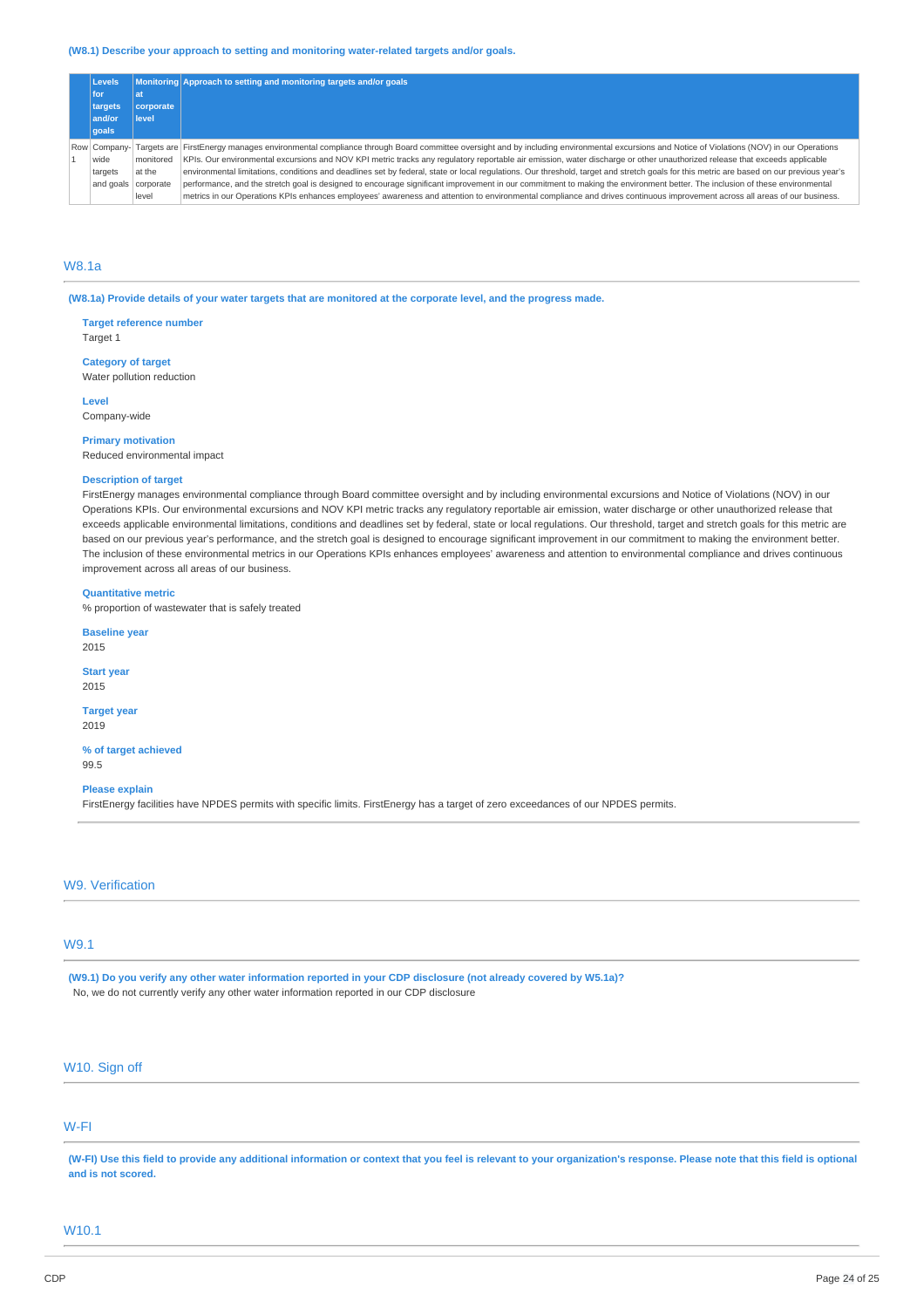#### **(W8.1) Describe your approach to setting and monitoring water-related targets and/or goals.**

|            | <b>Levels</b> |           | Monitoring Approach to setting and monitoring targets and/or goals                                                                                                                       |
|------------|---------------|-----------|------------------------------------------------------------------------------------------------------------------------------------------------------------------------------------------|
| for<br>lat |               |           |                                                                                                                                                                                          |
|            | targets       | corporate |                                                                                                                                                                                          |
|            | and/or        | level     |                                                                                                                                                                                          |
|            | qoals         |           |                                                                                                                                                                                          |
|            | Row Company-  |           | Targets are FirstEnergy manages environmental compliance through Board committee oversight and by including environmental excursions and Notice of Violations (NOV) in our Operations    |
|            | wide          | monitored | KPIs. Our environmental excursions and NOV KPI metric tracks any regulatory reportable air emission, water discharge or other unauthorized release that exceeds applicable               |
|            | targets       | at the    | environmental limitations, conditions and deadlines set by federal, state or local regulations. Our threshold, target and stretch goals for this metric are based on our previous year's |
|            | and goals     | corporate | performance, and the stretch goal is designed to encourage significant improvement in our commitment to making the environment better. The inclusion of these environmental              |
|            |               | level     | metrics in our Operations KPIs enhances employees' awareness and attention to environmental compliance and drives continuous improvement across all areas of our business.               |

### W8.1a

(W8.1a) Provide details of your water targets that are monitored at the corporate level, and the progress made.

**Target reference number** Target 1

**Category of target** Water pollution reduction

**Level** Company-wide

**Primary motivation** Reduced environmental impact

#### **Description of target**

FirstEnergy manages environmental compliance through Board committee oversight and by including environmental excursions and Notice of Violations (NOV) in our Operations KPIs. Our environmental excursions and NOV KPI metric tracks any regulatory reportable air emission, water discharge or other unauthorized release that exceeds applicable environmental limitations, conditions and deadlines set by federal, state or local regulations. Our threshold, target and stretch goals for this metric are based on our previous year's performance, and the stretch goal is designed to encourage significant improvement in our commitment to making the environment better. The inclusion of these environmental metrics in our Operations KPIs enhances employees' awareness and attention to environmental compliance and drives continuous improvement across all areas of our business.

### **Quantitative metric**

% proportion of wastewater that is safely treated

**Baseline year** 2015

**Start year**

2015

**Target year** 2019

**% of target achieved** 99.5

**Please explain**

FirstEnergy facilities have NPDES permits with specific limits. FirstEnergy has a target of zero exceedances of our NPDES permits.

W9. Verification

# W9.1

(W9.1) Do you verify any other water information reported in your CDP disclosure (not already covered by W5.1a)? No, we do not currently verify any other water information reported in our CDP disclosure

# W10. Sign off

## W-FI

(W-FI) Use this field to provide any additional information or context that you feel is relevant to your organization's response. Please note that this field is optional **and is not scored.**

### W10.1